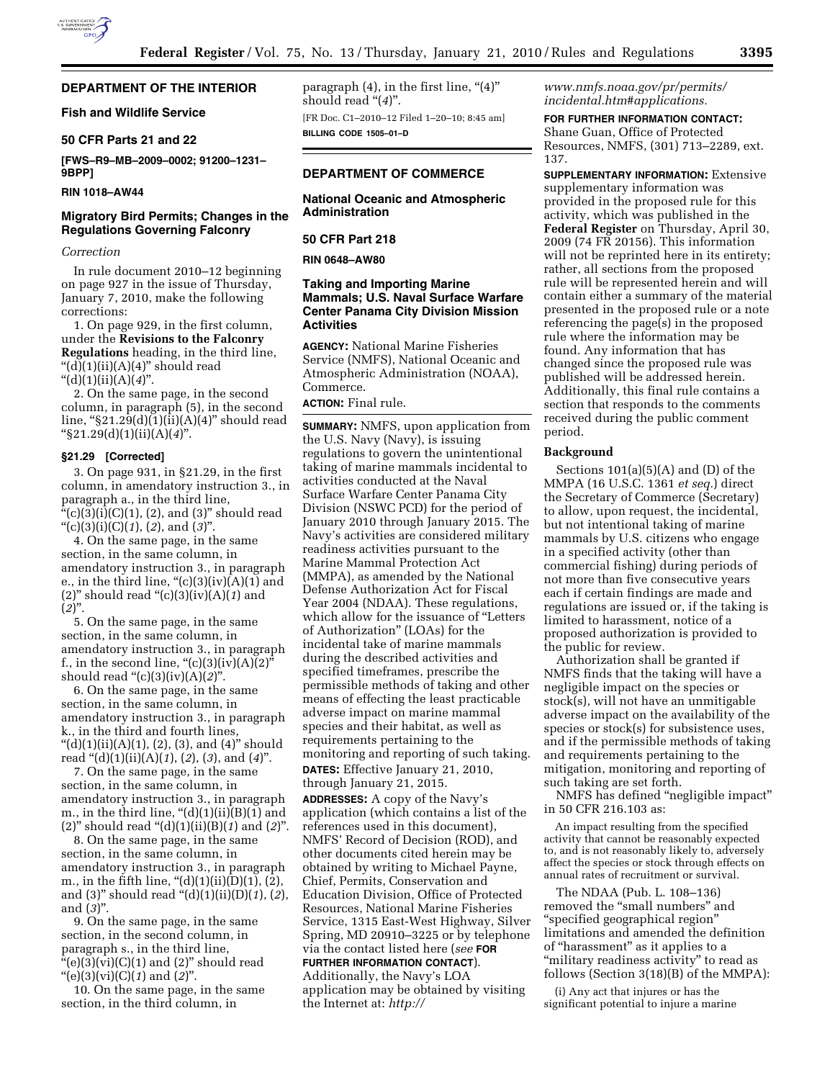# **DEPARTMENT OF THE INTERIOR**

## **Fish and Wildlife Service**

### **50 CFR Parts 21 and 22**

**[FWS–R9–MB–2009–0002; 91200–1231– 9BPP]** 

# **RIN 1018–AW44**

# **Migratory Bird Permits; Changes in the Regulations Governing Falconry**

#### *Correction*

In rule document 2010–12 beginning on page 927 in the issue of Thursday, January 7, 2010, make the following corrections:

1. On page 929, in the first column, under the **Revisions to the Falconry Regulations** heading, in the third line, " $(d)(1)(ii)(A)(4)$ " should read ''(d)(1)(ii)(A)(*4*)''.

2. On the same page, in the second column, in paragraph (5), in the second line, " $$21.29(d)(1)(ii)(A)(4)"$  should read ''§21.29(d)(1)(ii)(A)(*4*)''.

#### **§21.29 [Corrected]**

3. On page 931, in §21.29, in the first column, in amendatory instruction 3., in paragraph a., in the third line, "(c)(3)(i)(C)(1), (2), and (3)" should read ''(c)(3)(i)(C)(*1*), (*2*), and (*3*)''.

4. On the same page, in the same section, in the same column, in amendatory instruction 3., in paragraph e., in the third line, " $(c)(3)(iv)(A)(1)$  and (2)'' should read ''(c)(3)(iv)(A)(*1*) and  $(2)$ ".

5. On the same page, in the same section, in the same column, in amendatory instruction 3., in paragraph f., in the second line,  $((c)(3)(iv)(A)(2))$ should read ''(c)(3)(iv)(A)(*2*)''.

6. On the same page, in the same section, in the same column, in amendatory instruction 3., in paragraph k., in the third and fourth lines, "(d)(1)(ii)(A)(1), (2), (3), and (4)" should read ''(d)(1)(ii)(A)(*1*), (*2*), (*3*), and (*4*)''.

7. On the same page, in the same section, in the same column, in amendatory instruction 3., in paragraph m., in the third line,  $\degree$ (d)(1)(ii)(B)(1) and (2)'' should read ''(d)(1)(ii)(B)(*1*) and (*2*)''.

8. On the same page, in the same section, in the same column, in amendatory instruction 3., in paragraph m., in the fifth line,  $\frac{4}{3}(d)(1)(ii)(D)(1)$ , (2), and (3)'' should read ''(d)(1)(ii)(D)(*1*), (*2*), and (*3*)''.

9. On the same page, in the same section, in the second column, in paragraph s., in the third line,  $\cdot\text{``(e)(3)(vi)(C)(1)}$  and (2)" should read ''(e)(3)(vi)(C)(*1*) and (*2*)''.

10. On the same page, in the same section, in the third column, in

paragraph  $(4)$ , in the first line, " $(4)$ " should read "(4)".

[FR Doc. C1–2010–12 Filed 1–20–10; 8:45 am] **BILLING CODE 1505–01–D** 

# **DEPARTMENT OF COMMERCE**

**National Oceanic and Atmospheric Administration** 

### **50 CFR Part 218**

**RIN 0648–AW80** 

# **Taking and Importing Marine Mammals; U.S. Naval Surface Warfare Center Panama City Division Mission Activities**

**AGENCY:** National Marine Fisheries Service (NMFS), National Oceanic and Atmospheric Administration (NOAA), Commerce.

**ACTION:** Final rule.

**SUMMARY:** NMFS, upon application from the U.S. Navy (Navy), is issuing regulations to govern the unintentional taking of marine mammals incidental to activities conducted at the Naval Surface Warfare Center Panama City Division (NSWC PCD) for the period of January 2010 through January 2015. The Navy's activities are considered military readiness activities pursuant to the Marine Mammal Protection Act (MMPA), as amended by the National Defense Authorization Act for Fiscal Year 2004 (NDAA). These regulations, which allow for the issuance of ''Letters of Authorization'' (LOAs) for the incidental take of marine mammals during the described activities and specified timeframes, prescribe the permissible methods of taking and other means of effecting the least practicable adverse impact on marine mammal species and their habitat, as well as requirements pertaining to the monitoring and reporting of such taking. **DATES:** Effective January 21, 2010, through January 21, 2015.

**ADDRESSES:** A copy of the Navy's application (which contains a list of the references used in this document), NMFS' Record of Decision (ROD), and other documents cited herein may be obtained by writing to Michael Payne, Chief, Permits, Conservation and Education Division, Office of Protected Resources, National Marine Fisheries Service, 1315 East-West Highway, Silver Spring, MD 20910–3225 or by telephone via the contact listed here (*see* **FOR FURTHER INFORMATION CONTACT**).

Additionally, the Navy's LOA application may be obtained by visiting the Internet at: *http://* 

*www.nmfs.noaa.gov/pr/permits/ incidental.htm#applications.* 

# **FOR FURTHER INFORMATION CONTACT:**

Shane Guan, Office of Protected Resources, NMFS, (301) 713–2289, ext. 137.

**SUPPLEMENTARY INFORMATION:** Extensive supplementary information was provided in the proposed rule for this activity, which was published in the **Federal Register** on Thursday, April 30, 2009 (74 FR 20156). This information will not be reprinted here in its entirety; rather, all sections from the proposed rule will be represented herein and will contain either a summary of the material presented in the proposed rule or a note referencing the page(s) in the proposed rule where the information may be found. Any information that has changed since the proposed rule was published will be addressed herein. Additionally, this final rule contains a section that responds to the comments received during the public comment period.

#### **Background**

Sections  $101(a)(5)(A)$  and  $(D)$  of the MMPA (16 U.S.C. 1361 *et seq.*) direct the Secretary of Commerce (Secretary) to allow, upon request, the incidental, but not intentional taking of marine mammals by U.S. citizens who engage in a specified activity (other than commercial fishing) during periods of not more than five consecutive years each if certain findings are made and regulations are issued or, if the taking is limited to harassment, notice of a proposed authorization is provided to the public for review.

Authorization shall be granted if NMFS finds that the taking will have a negligible impact on the species or stock(s), will not have an unmitigable adverse impact on the availability of the species or stock(s) for subsistence uses, and if the permissible methods of taking and requirements pertaining to the mitigation, monitoring and reporting of such taking are set forth.

NMFS has defined ''negligible impact'' in 50 CFR 216.103 as:

An impact resulting from the specified activity that cannot be reasonably expected to, and is not reasonably likely to, adversely affect the species or stock through effects on annual rates of recruitment or survival.

The NDAA (Pub. L. 108–136) removed the "small numbers" and ''specified geographical region'' limitations and amended the definition of "harassment" as it applies to a "military readiness activity" to read as follows (Section 3(18)(B) of the MMPA):

(i) Any act that injures or has the significant potential to injure a marine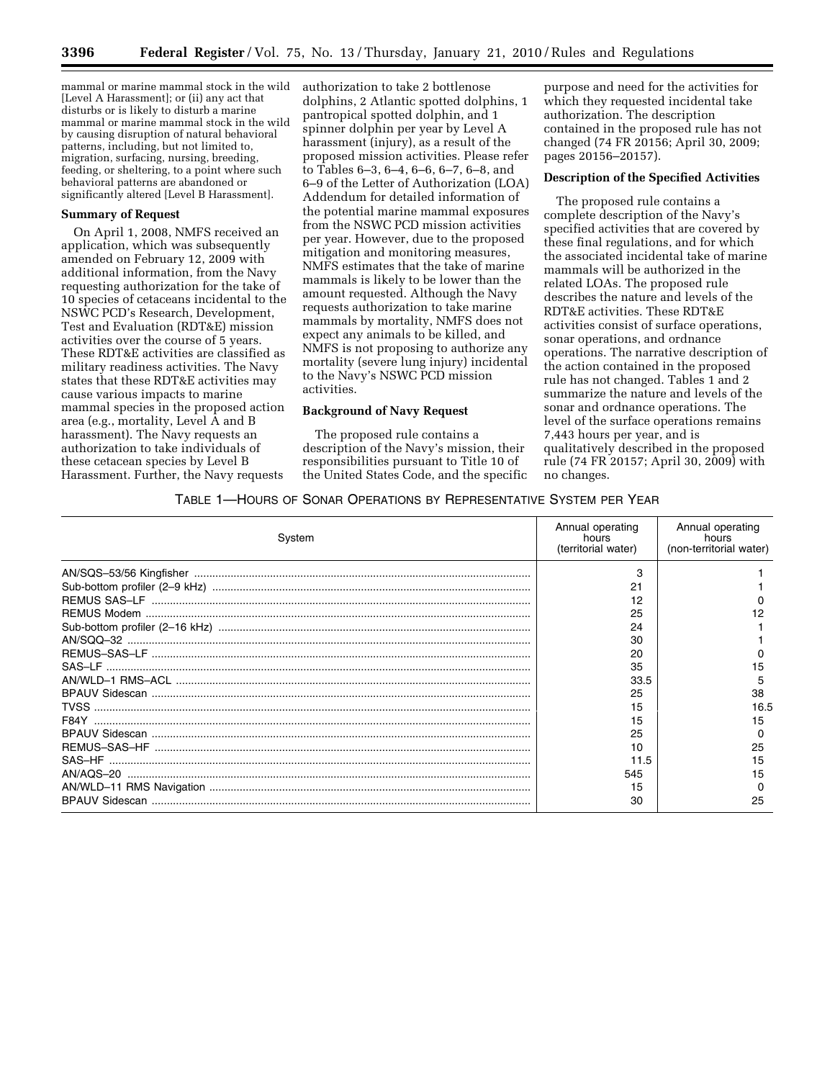mammal or marine mammal stock in the wild [Level A Harassment]; or (ii) any act that disturbs or is likely to disturb a marine mammal or marine mammal stock in the wild by causing disruption of natural behavioral patterns, including, but not limited to, migration, surfacing, nursing, breeding, feeding, or sheltering, to a point where such behavioral patterns are abandoned or significantly altered [Level B Harassment].

#### **Summary of Request**

On April 1, 2008, NMFS received an application, which was subsequently amended on February 12, 2009 with additional information, from the Navy requesting authorization for the take of 10 species of cetaceans incidental to the NSWC PCD's Research, Development, Test and Evaluation (RDT&E) mission activities over the course of 5 years. These RDT&E activities are classified as military readiness activities. The Navy states that these RDT&E activities may cause various impacts to marine mammal species in the proposed action area (e.g., mortality, Level A and B harassment). The Navy requests an authorization to take individuals of these cetacean species by Level B Harassment. Further, the Navy requests

authorization to take 2 bottlenose dolphins, 2 Atlantic spotted dolphins, 1 pantropical spotted dolphin, and 1 spinner dolphin per year by Level A harassment (injury), as a result of the proposed mission activities. Please refer to Tables 6–3, 6–4, 6–6, 6–7, 6–8, and 6–9 of the Letter of Authorization (LOA) Addendum for detailed information of the potential marine mammal exposures from the NSWC PCD mission activities per year. However, due to the proposed mitigation and monitoring measures, NMFS estimates that the take of marine mammals is likely to be lower than the amount requested. Although the Navy requests authorization to take marine mammals by mortality, NMFS does not expect any animals to be killed, and NMFS is not proposing to authorize any mortality (severe lung injury) incidental to the Navy's NSWC PCD mission activities.

# **Background of Navy Request**

The proposed rule contains a description of the Navy's mission, their responsibilities pursuant to Title 10 of the United States Code, and the specific

purpose and need for the activities for which they requested incidental take authorization. The description contained in the proposed rule has not changed (74 FR 20156; April 30, 2009; pages 20156–20157).

# **Description of the Specified Activities**

The proposed rule contains a complete description of the Navy's specified activities that are covered by these final regulations, and for which the associated incidental take of marine mammals will be authorized in the related LOAs. The proposed rule describes the nature and levels of the RDT&E activities. These RDT&E activities consist of surface operations, sonar operations, and ordnance operations. The narrative description of the action contained in the proposed rule has not changed. Tables 1 and 2 summarize the nature and levels of the sonar and ordnance operations. The level of the surface operations remains 7,443 hours per year, and is qualitatively described in the proposed rule (74 FR 20157; April 30, 2009) with no changes.

### TABLE 1—HOURS OF SONAR OPERATIONS BY REPRESENTATIVE SYSTEM PER YEAR

| System | Annual operating<br>hours<br>(territorial water) | Annual operating<br>hours<br>(non-territorial water) |
|--------|--------------------------------------------------|------------------------------------------------------|
|        | з                                                |                                                      |
|        | 21                                               |                                                      |
|        | 12                                               |                                                      |
|        | 25                                               |                                                      |
|        | 24                                               |                                                      |
|        | 30                                               |                                                      |
|        | 20                                               |                                                      |
|        | 35                                               | 15                                                   |
|        | 33.5                                             | 5                                                    |
|        | 25                                               | 38                                                   |
|        | 15                                               | 16.5                                                 |
| F84Y   | 15                                               | 15                                                   |
|        | 25                                               | 0                                                    |
|        | 10                                               | 25                                                   |
|        | 11.5                                             | 15                                                   |
|        | 545                                              | 15                                                   |
|        | 15                                               |                                                      |
|        | 30                                               | 25                                                   |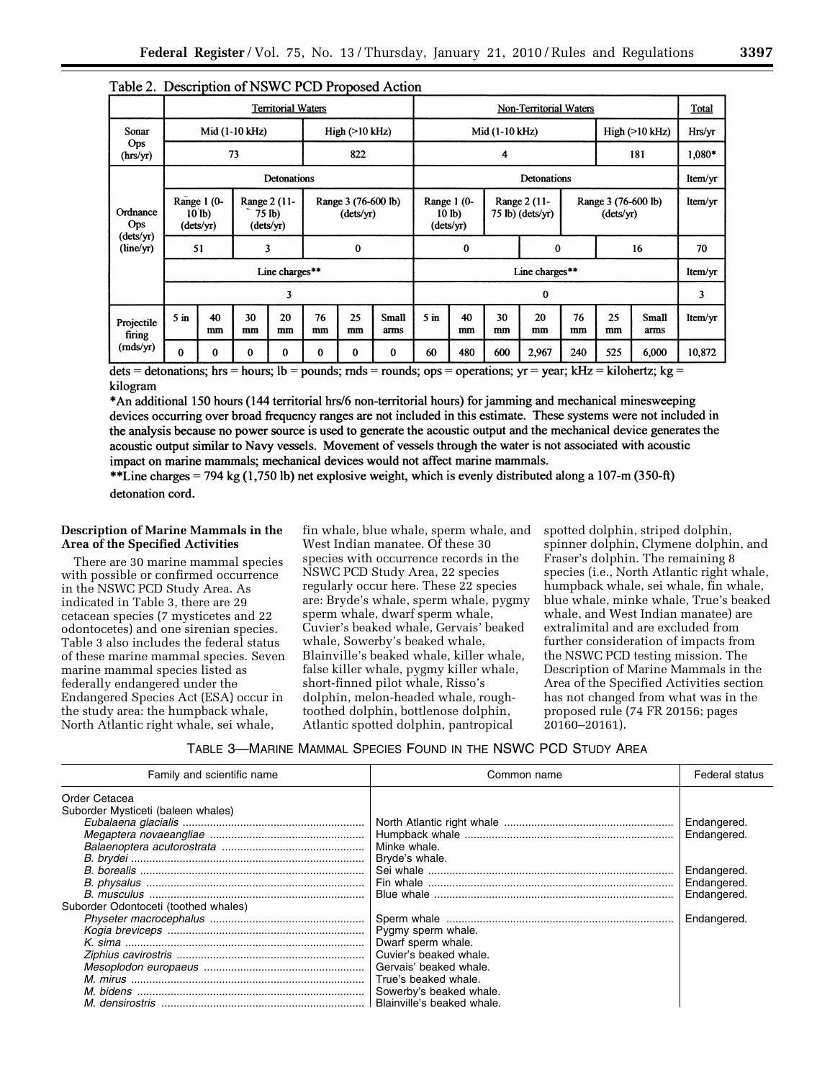|                                           | <b>Territorial Waters</b>            |              |          |                                     |                                  | Non-Territorial Waters |                    |                                                                                    |          |                                  |                | Total    |          |               |         |
|-------------------------------------------|--------------------------------------|--------------|----------|-------------------------------------|----------------------------------|------------------------|--------------------|------------------------------------------------------------------------------------|----------|----------------------------------|----------------|----------|----------|---------------|---------|
| Sonar<br>Ops<br>(hrs/yr)                  | Mid (1-10 kHz)                       |              |          | High (>10 kHz)                      |                                  |                        | Mid (1-10 kHz)     |                                                                                    |          |                                  | High (>10 kHz) |          | Hrs/yr   |               |         |
|                                           | 73                                   |              |          | 822                                 |                                  |                        | 4                  |                                                                                    |          |                                  |                | 181      |          | 1,080*        |         |
| Ordnance<br>Ops<br>(dets/yr)<br>(line/yr) | Detonations                          |              |          |                                     |                                  |                        | <b>Detonations</b> |                                                                                    |          |                                  |                |          | Item/yr  |               |         |
|                                           | Range 1 (0-<br>$10$ lb)<br>(dets/yr) |              |          | Range 2 (11-<br>75 lb)<br>(dets/yr) | Range 3 (76-600 lb)<br>(dets/yr) |                        |                    | Range 2 (11-<br>Range 1 (0-<br>$75$ lb) (dets/yr)<br>10 <sub>lb</sub><br>(dets/yr) |          | Range 3 (76-600 lb)<br>(dets/yr) |                |          | Item/yr  |               |         |
|                                           | 51                                   |              |          | 3                                   | 0                                |                        |                    | $\bf{0}$<br>$\mathbf 0$                                                            |          |                                  |                | 16       | 70       |               |         |
|                                           | Line charges**                       |              |          |                                     |                                  |                        | Line charges**     |                                                                                    |          |                                  |                |          | Item/yr  |               |         |
|                                           | 3                                    |              |          |                                     |                                  |                        | $\bf{0}$           |                                                                                    |          |                                  |                |          | 3        |               |         |
| Projectile<br>firing<br>(mds/yr)          | 5 <sub>in</sub>                      | 40<br>mm     | 30<br>mm | 20<br>mm                            | 76<br>mm                         | 25<br>mm               | Small<br>arms      | $5 \text{ in}$                                                                     | 40<br>mm | 30<br>mm                         | 20<br>mm       | 76<br>mm | 25<br>mm | Small<br>arms | Item/yr |
|                                           | $\bf{0}$                             | $\mathbf{0}$ | $\Omega$ | $\Omega$                            | $\Omega$                         | $\mathbf{0}$           | $\bf{0}$           | 60                                                                                 | 480      | 600                              | 2,967          | 240      | 525      | 6,000         | 10,872  |

# Table 2. Description of NSWC PCD Proposed Action

dets = detonations; hrs = hours; lb = pounds; rnds = rounds; ops = operations; yr = year; kHz = kilohertz; kg = kilogram

\*An additional 150 hours (144 territorial hrs/6 non-territorial hours) for jamming and mechanical minesweeping devices occurring over broad frequency ranges are not included in this estimate. These systems were not included in the analysis because no power source is used to generate the acoustic output and the mechanical device generates the acoustic output similar to Navy vessels. Movement of vessels through the water is not associated with acoustic impact on marine mammals; mechanical devices would not affect marine mammals.

\*\*Line charges = 794 kg (1,750 lb) net explosive weight, which is evenly distributed along a 107-m (350-ft) detonation cord.

# **Description of Marine Mammals in the Area of the Specified Activities**

There are 30 marine mammal species with possible or confirmed occurrence in the NSWC PCD Study Area. As indicated in Table 3, there are 29 cetacean species (7 mysticetes and 22 odontocetes) and one sirenian species. Table 3 also includes the federal status of these marine mammal species. Seven marine mammal species listed as federally endangered under the Endangered Species Act (ESA) occur in the study area: the humpback whale, North Atlantic right whale, sei whale,

fin whale, blue whale, sperm whale, and West Indian manatee. Of these 30 species with occurrence records in the NSWC PCD Study Area, 22 species regularly occur here. These 22 species are: Bryde's whale, sperm whale, pygmy sperm whale, dwarf sperm whale, Cuvier's beaked whale, Gervais' beaked whale, Sowerby's beaked whale, Blainville's beaked whale, killer whale, false killer whale, pygmy killer whale, short-finned pilot whale, Risso's dolphin, melon-headed whale, roughtoothed dolphin, bottlenose dolphin, Atlantic spotted dolphin, pantropical

spotted dolphin, striped dolphin, spinner dolphin, Clymene dolphin, and Fraser's dolphin. The remaining 8 species (i.e., North Atlantic right whale, humpback whale, sei whale, fin whale, blue whale, minke whale, True's beaked whale, and West Indian manatee) are extralimital and are excluded from further consideration of impacts from the NSWC PCD testing mission. The Description of Marine Mammals in the Area of the Specified Activities section has not changed from what was in the proposed rule (74 FR 20156; pages 20160–20161).

| Family and scientific name                          | Common name                                                                                                                                     | Federal status                                                          |
|-----------------------------------------------------|-------------------------------------------------------------------------------------------------------------------------------------------------|-------------------------------------------------------------------------|
| Order Cetacea<br>Suborder Mysticeti (baleen whales) | Minke whale.<br>Bryde's whale.                                                                                                                  | Endangered.<br>Endangered.<br>Endangered.<br>Endangered.<br>Endangered. |
| Suborder Odontoceti (toothed whales)                | Pygmy sperm whale.<br>Dwarf sperm whale.<br>Cuvier's beaked whale.<br>Gervais' beaked whale.<br>True's beaked whale.<br>Sowerby's beaked whale. | Endangered.                                                             |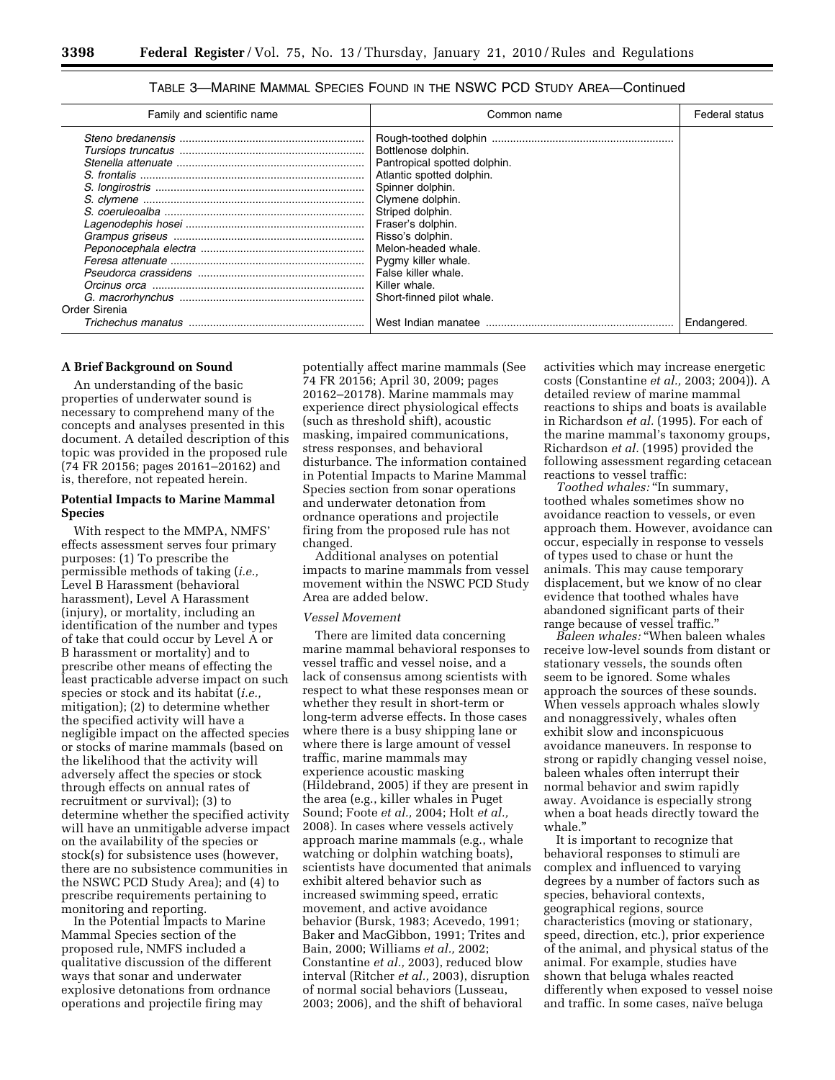| Family and scientific name | Common name                                                                                                                                                                                                                                                                                              | Federal status |
|----------------------------|----------------------------------------------------------------------------------------------------------------------------------------------------------------------------------------------------------------------------------------------------------------------------------------------------------|----------------|
| Order Sirenia              | Bottlenose dolphin.<br>Pantropical spotted dolphin.<br>Atlantic spotted dolphin.<br>Spinner dolphin.<br>Clymene dolphin.<br>Striped dolphin.<br>Fraser's dolphin.<br>Risso's dolphin.<br>Melon-headed whale.<br>Pygmy killer whale.<br>False killer whale.<br>Killer whale.<br>Short-finned pilot whale. |                |
| Trichechus manatus         | West Indian manatee                                                                                                                                                                                                                                                                                      | Endangered.    |

TABLE 3—MARINE MAMMAL SPECIES FOUND IN THE NSWC PCD STUDY AREA—Continued

# **A Brief Background on Sound**

An understanding of the basic properties of underwater sound is necessary to comprehend many of the concepts and analyses presented in this document. A detailed description of this topic was provided in the proposed rule (74 FR 20156; pages 20161–20162) and is, therefore, not repeated herein.

# **Potential Impacts to Marine Mammal Species**

With respect to the MMPA, NMFS' effects assessment serves four primary purposes: (1) To prescribe the permissible methods of taking (*i.e.,*  Level B Harassment (behavioral harassment), Level A Harassment (injury), or mortality, including an identification of the number and types of take that could occur by Level A or B harassment or mortality) and to prescribe other means of effecting the least practicable adverse impact on such species or stock and its habitat (*i.e.,*  mitigation); (2) to determine whether the specified activity will have a negligible impact on the affected species or stocks of marine mammals (based on the likelihood that the activity will adversely affect the species or stock through effects on annual rates of recruitment or survival); (3) to determine whether the specified activity will have an unmitigable adverse impact on the availability of the species or stock(s) for subsistence uses (however, there are no subsistence communities in the NSWC PCD Study Area); and (4) to prescribe requirements pertaining to monitoring and reporting.

In the Potential Impacts to Marine Mammal Species section of the proposed rule, NMFS included a qualitative discussion of the different ways that sonar and underwater explosive detonations from ordnance operations and projectile firing may

potentially affect marine mammals (See 74 FR 20156; April 30, 2009; pages 20162–20178). Marine mammals may experience direct physiological effects (such as threshold shift), acoustic masking, impaired communications, stress responses, and behavioral disturbance. The information contained in Potential Impacts to Marine Mammal Species section from sonar operations and underwater detonation from ordnance operations and projectile firing from the proposed rule has not changed.

Additional analyses on potential impacts to marine mammals from vessel movement within the NSWC PCD Study Area are added below.

#### *Vessel Movement*

There are limited data concerning marine mammal behavioral responses to vessel traffic and vessel noise, and a lack of consensus among scientists with respect to what these responses mean or whether they result in short-term or long-term adverse effects. In those cases where there is a busy shipping lane or where there is large amount of vessel traffic, marine mammals may experience acoustic masking (Hildebrand, 2005) if they are present in the area (e.g., killer whales in Puget Sound; Foote *et al.,* 2004; Holt *et al.,*  2008). In cases where vessels actively approach marine mammals (e.g., whale watching or dolphin watching boats), scientists have documented that animals exhibit altered behavior such as increased swimming speed, erratic movement, and active avoidance behavior (Bursk, 1983; Acevedo, 1991; Baker and MacGibbon, 1991; Trites and Bain, 2000; Williams *et al.,* 2002; Constantine *et al.,* 2003), reduced blow interval (Ritcher *et al.,* 2003), disruption of normal social behaviors (Lusseau, 2003; 2006), and the shift of behavioral

activities which may increase energetic costs (Constantine *et al.,* 2003; 2004)). A detailed review of marine mammal reactions to ships and boats is available in Richardson *et al.* (1995). For each of the marine mammal's taxonomy groups, Richardson *et al.* (1995) provided the following assessment regarding cetacean reactions to vessel traffic:

*Toothed whales:* ''In summary, toothed whales sometimes show no avoidance reaction to vessels, or even approach them. However, avoidance can occur, especially in response to vessels of types used to chase or hunt the animals. This may cause temporary displacement, but we know of no clear evidence that toothed whales have abandoned significant parts of their range because of vessel traffic.''

*Baleen whales:* ''When baleen whales receive low-level sounds from distant or stationary vessels, the sounds often seem to be ignored. Some whales approach the sources of these sounds. When vessels approach whales slowly and nonaggressively, whales often exhibit slow and inconspicuous avoidance maneuvers. In response to strong or rapidly changing vessel noise, baleen whales often interrupt their normal behavior and swim rapidly away. Avoidance is especially strong when a boat heads directly toward the whale.''

It is important to recognize that behavioral responses to stimuli are complex and influenced to varying degrees by a number of factors such as species, behavioral contexts, geographical regions, source characteristics (moving or stationary, speed, direction, etc.), prior experience of the animal, and physical status of the animal. For example, studies have shown that beluga whales reacted differently when exposed to vessel noise and traffic. In some cases, naïve beluga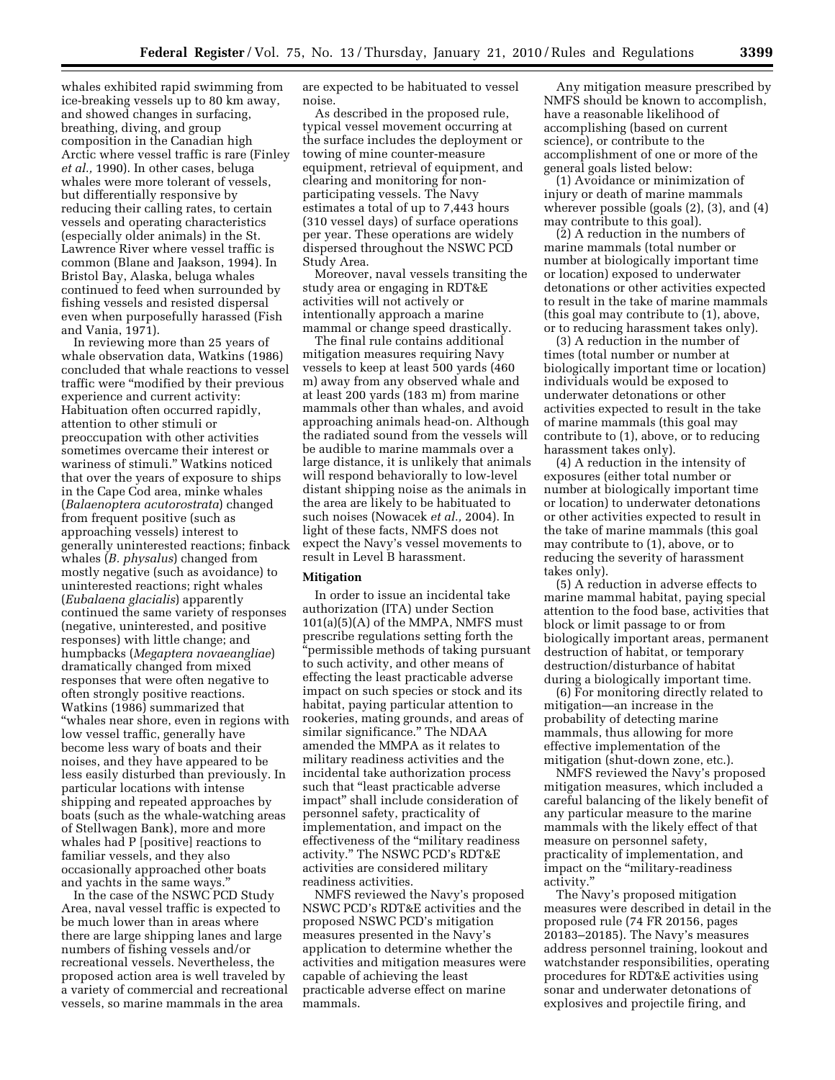whales exhibited rapid swimming from ice-breaking vessels up to 80 km away, and showed changes in surfacing, breathing, diving, and group composition in the Canadian high Arctic where vessel traffic is rare (Finley *et al.,* 1990). In other cases, beluga whales were more tolerant of vessels, but differentially responsive by reducing their calling rates, to certain vessels and operating characteristics (especially older animals) in the St. Lawrence River where vessel traffic is common (Blane and Jaakson, 1994). In Bristol Bay, Alaska, beluga whales continued to feed when surrounded by fishing vessels and resisted dispersal even when purposefully harassed (Fish and Vania, 1971).

In reviewing more than 25 years of whale observation data, Watkins (1986) concluded that whale reactions to vessel traffic were ''modified by their previous experience and current activity: Habituation often occurred rapidly, attention to other stimuli or preoccupation with other activities sometimes overcame their interest or wariness of stimuli.'' Watkins noticed that over the years of exposure to ships in the Cape Cod area, minke whales (*Balaenoptera acutorostrata*) changed from frequent positive (such as approaching vessels) interest to generally uninterested reactions; finback whales (*B. physalus*) changed from mostly negative (such as avoidance) to uninterested reactions; right whales (*Eubalaena glacialis*) apparently continued the same variety of responses (negative, uninterested, and positive responses) with little change; and humpbacks (*Megaptera novaeangliae*) dramatically changed from mixed responses that were often negative to often strongly positive reactions. Watkins (1986) summarized that ''whales near shore, even in regions with low vessel traffic, generally have become less wary of boats and their noises, and they have appeared to be less easily disturbed than previously. In particular locations with intense shipping and repeated approaches by boats (such as the whale-watching areas of Stellwagen Bank), more and more whales had P [positive] reactions to familiar vessels, and they also occasionally approached other boats and yachts in the same ways.''

In the case of the NSWC PCD Study Area, naval vessel traffic is expected to be much lower than in areas where there are large shipping lanes and large numbers of fishing vessels and/or recreational vessels. Nevertheless, the proposed action area is well traveled by a variety of commercial and recreational vessels, so marine mammals in the area

are expected to be habituated to vessel noise.

As described in the proposed rule, typical vessel movement occurring at the surface includes the deployment or towing of mine counter-measure equipment, retrieval of equipment, and clearing and monitoring for nonparticipating vessels. The Navy estimates a total of up to 7,443 hours (310 vessel days) of surface operations per year. These operations are widely dispersed throughout the NSWC PCD Study Area.

Moreover, naval vessels transiting the study area or engaging in RDT&E activities will not actively or intentionally approach a marine mammal or change speed drastically.

The final rule contains additional mitigation measures requiring Navy vessels to keep at least 500 yards (460 m) away from any observed whale and at least 200 yards (183 m) from marine mammals other than whales, and avoid approaching animals head-on. Although the radiated sound from the vessels will be audible to marine mammals over a large distance, it is unlikely that animals will respond behaviorally to low-level distant shipping noise as the animals in the area are likely to be habituated to such noises (Nowacek *et al.,* 2004). In light of these facts, NMFS does not expect the Navy's vessel movements to result in Level B harassment.

#### **Mitigation**

In order to issue an incidental take authorization (ITA) under Section 101(a)(5)(A) of the MMPA, NMFS must prescribe regulations setting forth the ''permissible methods of taking pursuant to such activity, and other means of effecting the least practicable adverse impact on such species or stock and its habitat, paying particular attention to rookeries, mating grounds, and areas of similar significance.'' The NDAA amended the MMPA as it relates to military readiness activities and the incidental take authorization process such that "least practicable adverse impact'' shall include consideration of personnel safety, practicality of implementation, and impact on the effectiveness of the ''military readiness activity.'' The NSWC PCD's RDT&E activities are considered military readiness activities.

NMFS reviewed the Navy's proposed NSWC PCD's RDT&E activities and the proposed NSWC PCD's mitigation measures presented in the Navy's application to determine whether the activities and mitigation measures were capable of achieving the least practicable adverse effect on marine mammals.

Any mitigation measure prescribed by NMFS should be known to accomplish, have a reasonable likelihood of accomplishing (based on current science), or contribute to the accomplishment of one or more of the general goals listed below:

(1) Avoidance or minimization of injury or death of marine mammals wherever possible (goals (2), (3), and (4) may contribute to this goal).

(2) A reduction in the numbers of marine mammals (total number or number at biologically important time or location) exposed to underwater detonations or other activities expected to result in the take of marine mammals (this goal may contribute to (1), above, or to reducing harassment takes only).

(3) A reduction in the number of times (total number or number at biologically important time or location) individuals would be exposed to underwater detonations or other activities expected to result in the take of marine mammals (this goal may contribute to (1), above, or to reducing harassment takes only).

(4) A reduction in the intensity of exposures (either total number or number at biologically important time or location) to underwater detonations or other activities expected to result in the take of marine mammals (this goal may contribute to (1), above, or to reducing the severity of harassment takes only).

(5) A reduction in adverse effects to marine mammal habitat, paying special attention to the food base, activities that block or limit passage to or from biologically important areas, permanent destruction of habitat, or temporary destruction/disturbance of habitat during a biologically important time.

(6) For monitoring directly related to mitigation—an increase in the probability of detecting marine mammals, thus allowing for more effective implementation of the mitigation (shut-down zone, etc.).

NMFS reviewed the Navy's proposed mitigation measures, which included a careful balancing of the likely benefit of any particular measure to the marine mammals with the likely effect of that measure on personnel safety, practicality of implementation, and impact on the ''military-readiness activity.''

The Navy's proposed mitigation measures were described in detail in the proposed rule (74 FR 20156, pages 20183–20185). The Navy's measures address personnel training, lookout and watchstander responsibilities, operating procedures for RDT&E activities using sonar and underwater detonations of explosives and projectile firing, and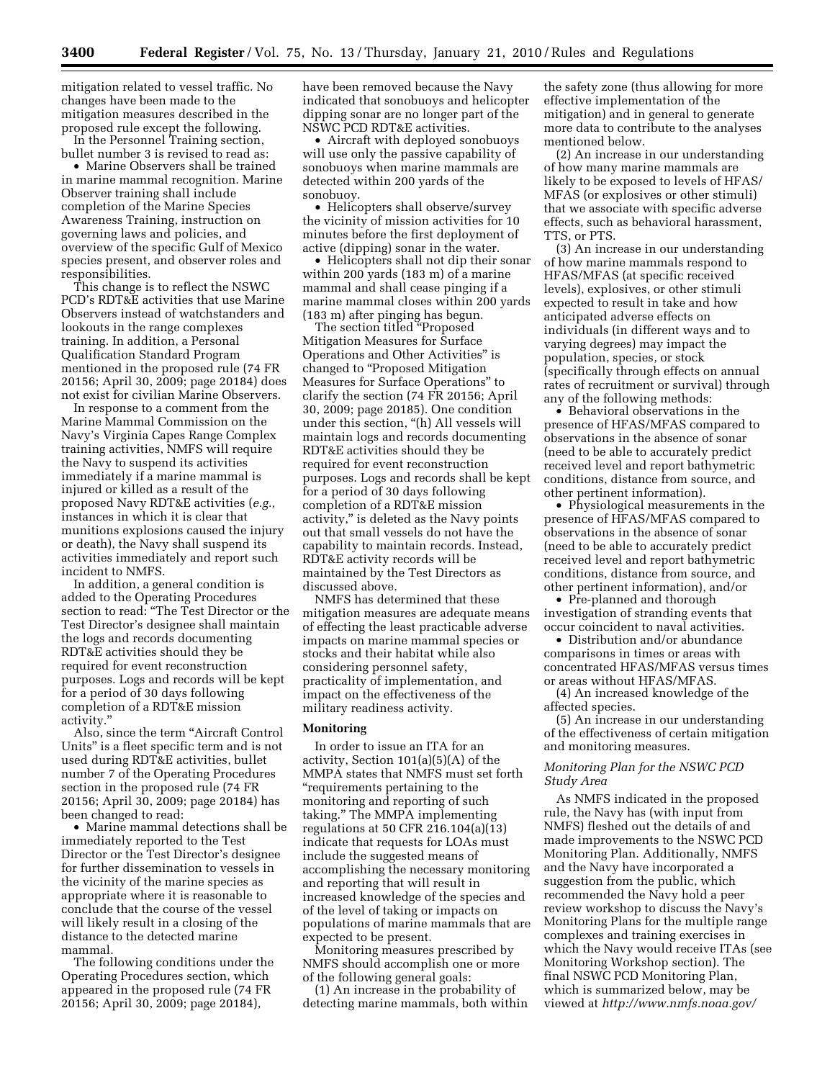mitigation related to vessel traffic. No changes have been made to the mitigation measures described in the proposed rule except the following.

In the Personnel Training section, bullet number 3 is revised to read as:

• Marine Observers shall be trained in marine mammal recognition. Marine Observer training shall include completion of the Marine Species Awareness Training, instruction on governing laws and policies, and overview of the specific Gulf of Mexico species present, and observer roles and responsibilities.

This change is to reflect the NSWC PCD's RDT&E activities that use Marine Observers instead of watchstanders and lookouts in the range complexes training. In addition, a Personal Qualification Standard Program mentioned in the proposed rule (74 FR 20156; April 30, 2009; page 20184) does not exist for civilian Marine Observers.

In response to a comment from the Marine Mammal Commission on the Navy's Virginia Capes Range Complex training activities, NMFS will require the Navy to suspend its activities immediately if a marine mammal is injured or killed as a result of the proposed Navy RDT&E activities (*e.g.,*  instances in which it is clear that munitions explosions caused the injury or death), the Navy shall suspend its activities immediately and report such incident to NMFS.

In addition, a general condition is added to the Operating Procedures section to read: ''The Test Director or the Test Director's designee shall maintain the logs and records documenting RDT&E activities should they be required for event reconstruction purposes. Logs and records will be kept for a period of 30 days following completion of a RDT&E mission activity.''

Also, since the term ''Aircraft Control Units'' is a fleet specific term and is not used during RDT&E activities, bullet number 7 of the Operating Procedures section in the proposed rule (74 FR 20156; April 30, 2009; page 20184) has been changed to read:

• Marine mammal detections shall be immediately reported to the Test Director or the Test Director's designee for further dissemination to vessels in the vicinity of the marine species as appropriate where it is reasonable to conclude that the course of the vessel will likely result in a closing of the distance to the detected marine mammal.

The following conditions under the Operating Procedures section, which appeared in the proposed rule (74 FR 20156; April 30, 2009; page 20184),

have been removed because the Navy indicated that sonobuoys and helicopter dipping sonar are no longer part of the NSWC PCD RDT&E activities.

• Aircraft with deployed sonobuoys will use only the passive capability of sonobuoys when marine mammals are detected within 200 yards of the sonobuoy.

• Helicopters shall observe/survey the vicinity of mission activities for 10 minutes before the first deployment of active (dipping) sonar in the water.

• Helicopters shall not dip their sonar within 200 yards (183 m) of a marine mammal and shall cease pinging if a marine mammal closes within 200 yards (183 m) after pinging has begun.

The section titled ''Proposed Mitigation Measures for Surface Operations and Other Activities'' is changed to ''Proposed Mitigation Measures for Surface Operations'' to clarify the section (74 FR 20156; April 30, 2009; page 20185). One condition under this section, ''(h) All vessels will maintain logs and records documenting RDT&E activities should they be required for event reconstruction purposes. Logs and records shall be kept for a period of 30 days following completion of a RDT&E mission activity,'' is deleted as the Navy points out that small vessels do not have the capability to maintain records. Instead, RDT&E activity records will be maintained by the Test Directors as discussed above.

NMFS has determined that these mitigation measures are adequate means of effecting the least practicable adverse impacts on marine mammal species or stocks and their habitat while also considering personnel safety, practicality of implementation, and impact on the effectiveness of the military readiness activity.

#### **Monitoring**

In order to issue an ITA for an activity, Section 101(a)(5)(A) of the MMPA states that NMFS must set forth ''requirements pertaining to the monitoring and reporting of such taking.'' The MMPA implementing regulations at 50 CFR 216.104(a)(13) indicate that requests for LOAs must include the suggested means of accomplishing the necessary monitoring and reporting that will result in increased knowledge of the species and of the level of taking or impacts on populations of marine mammals that are expected to be present.

Monitoring measures prescribed by NMFS should accomplish one or more of the following general goals:

(1) An increase in the probability of detecting marine mammals, both within

the safety zone (thus allowing for more effective implementation of the mitigation) and in general to generate more data to contribute to the analyses mentioned below.

(2) An increase in our understanding of how many marine mammals are likely to be exposed to levels of HFAS/ MFAS (or explosives or other stimuli) that we associate with specific adverse effects, such as behavioral harassment, TTS, or PTS.

(3) An increase in our understanding of how marine mammals respond to HFAS/MFAS (at specific received levels), explosives, or other stimuli expected to result in take and how anticipated adverse effects on individuals (in different ways and to varying degrees) may impact the population, species, or stock (specifically through effects on annual rates of recruitment or survival) through any of the following methods:

• Behavioral observations in the presence of HFAS/MFAS compared to observations in the absence of sonar (need to be able to accurately predict received level and report bathymetric conditions, distance from source, and other pertinent information).

• Physiological measurements in the presence of HFAS/MFAS compared to observations in the absence of sonar (need to be able to accurately predict received level and report bathymetric conditions, distance from source, and other pertinent information), and/or

• Pre-planned and thorough investigation of stranding events that occur coincident to naval activities.

• Distribution and/or abundance comparisons in times or areas with concentrated HFAS/MFAS versus times or areas without HFAS/MFAS.

(4) An increased knowledge of the affected species.

(5) An increase in our understanding of the effectiveness of certain mitigation and monitoring measures.

# *Monitoring Plan for the NSWC PCD Study Area*

As NMFS indicated in the proposed rule, the Navy has (with input from NMFS) fleshed out the details of and made improvements to the NSWC PCD Monitoring Plan. Additionally, NMFS and the Navy have incorporated a suggestion from the public, which recommended the Navy hold a peer review workshop to discuss the Navy's Monitoring Plans for the multiple range complexes and training exercises in which the Navy would receive ITAs (see Monitoring Workshop section). The final NSWC PCD Monitoring Plan, which is summarized below, may be viewed at *http://www.nmfs.noaa.gov/*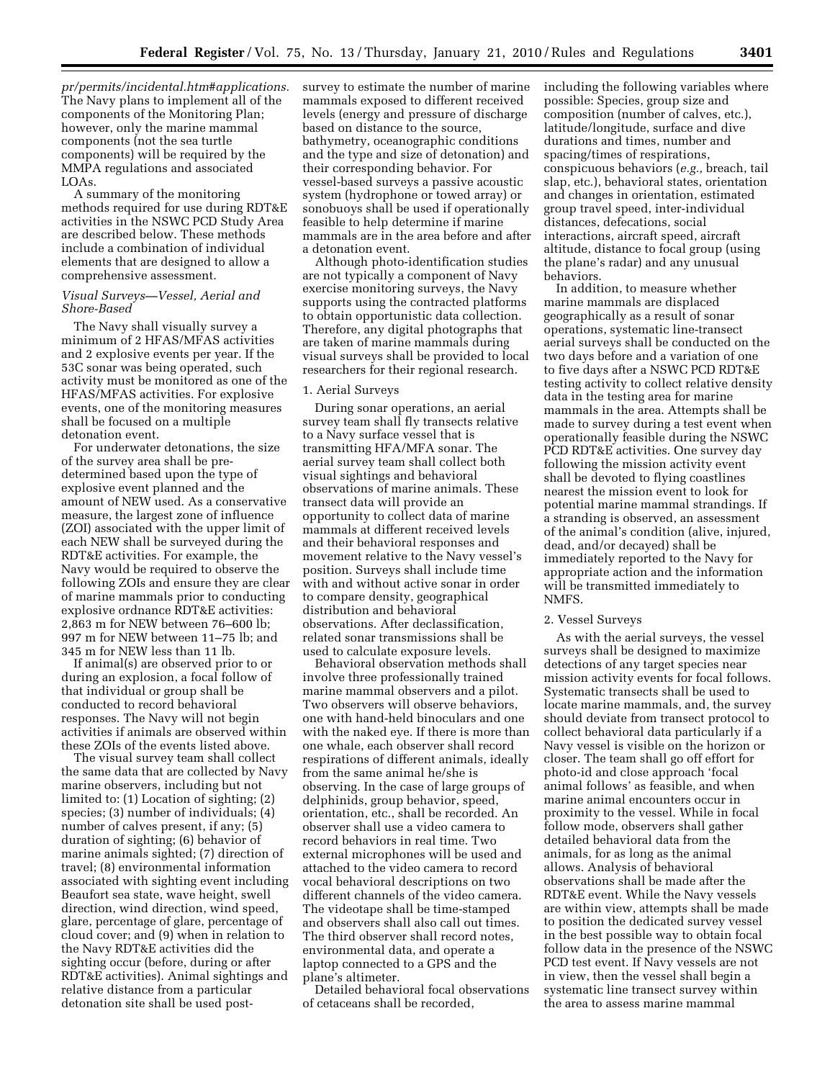*pr/permits/incidental.htm#applications.*  The Navy plans to implement all of the components of the Monitoring Plan; however, only the marine mammal components (not the sea turtle components) will be required by the MMPA regulations and associated LOAs.

A summary of the monitoring methods required for use during RDT&E activities in the NSWC PCD Study Area are described below. These methods include a combination of individual elements that are designed to allow a comprehensive assessment.

#### *Visual Surveys—Vessel, Aerial and Shore-Based*

The Navy shall visually survey a minimum of 2 HFAS/MFAS activities and 2 explosive events per year. If the 53C sonar was being operated, such activity must be monitored as one of the HFAS/MFAS activities. For explosive events, one of the monitoring measures shall be focused on a multiple detonation event.

For underwater detonations, the size of the survey area shall be predetermined based upon the type of explosive event planned and the amount of NEW used. As a conservative measure, the largest zone of influence (ZOI) associated with the upper limit of each NEW shall be surveyed during the RDT&E activities. For example, the Navy would be required to observe the following ZOIs and ensure they are clear of marine mammals prior to conducting explosive ordnance RDT&E activities: 2,863 m for NEW between 76–600 lb; 997 m for NEW between 11–75 lb; and 345 m for NEW less than 11 lb.

If animal(s) are observed prior to or during an explosion, a focal follow of that individual or group shall be conducted to record behavioral responses. The Navy will not begin activities if animals are observed within these ZOIs of the events listed above.

The visual survey team shall collect the same data that are collected by Navy marine observers, including but not limited to: (1) Location of sighting; (2) species; (3) number of individuals; (4) number of calves present, if any; (5) duration of sighting; (6) behavior of marine animals sighted; (7) direction of travel; (8) environmental information associated with sighting event including Beaufort sea state, wave height, swell direction, wind direction, wind speed, glare, percentage of glare, percentage of cloud cover; and (9) when in relation to the Navy RDT&E activities did the sighting occur (before, during or after RDT&E activities). Animal sightings and relative distance from a particular detonation site shall be used postsurvey to estimate the number of marine mammals exposed to different received levels (energy and pressure of discharge based on distance to the source, bathymetry, oceanographic conditions and the type and size of detonation) and their corresponding behavior. For vessel-based surveys a passive acoustic system (hydrophone or towed array) or sonobuoys shall be used if operationally feasible to help determine if marine mammals are in the area before and after a detonation event.

Although photo-identification studies are not typically a component of Navy exercise monitoring surveys, the Navy supports using the contracted platforms to obtain opportunistic data collection. Therefore, any digital photographs that are taken of marine mammals during visual surveys shall be provided to local researchers for their regional research.

# 1. Aerial Surveys

During sonar operations, an aerial survey team shall fly transects relative to a Navy surface vessel that is transmitting HFA/MFA sonar. The aerial survey team shall collect both visual sightings and behavioral observations of marine animals. These transect data will provide an opportunity to collect data of marine mammals at different received levels and their behavioral responses and movement relative to the Navy vessel's position. Surveys shall include time with and without active sonar in order to compare density, geographical distribution and behavioral observations. After declassification, related sonar transmissions shall be used to calculate exposure levels.

Behavioral observation methods shall involve three professionally trained marine mammal observers and a pilot. Two observers will observe behaviors, one with hand-held binoculars and one with the naked eye. If there is more than one whale, each observer shall record respirations of different animals, ideally from the same animal he/she is observing. In the case of large groups of delphinids, group behavior, speed, orientation, etc., shall be recorded. An observer shall use a video camera to record behaviors in real time. Two external microphones will be used and attached to the video camera to record vocal behavioral descriptions on two different channels of the video camera. The videotape shall be time-stamped and observers shall also call out times. The third observer shall record notes, environmental data, and operate a laptop connected to a GPS and the plane's altimeter.

Detailed behavioral focal observations of cetaceans shall be recorded,

including the following variables where possible: Species, group size and composition (number of calves, etc.), latitude/longitude, surface and dive durations and times, number and spacing/times of respirations, conspicuous behaviors (*e.g.,* breach, tail slap, etc.), behavioral states, orientation and changes in orientation, estimated group travel speed, inter-individual distances, defecations, social interactions, aircraft speed, aircraft altitude, distance to focal group (using the plane's radar) and any unusual behaviors.

In addition, to measure whether marine mammals are displaced geographically as a result of sonar operations, systematic line-transect aerial surveys shall be conducted on the two days before and a variation of one to five days after a NSWC PCD RDT&E testing activity to collect relative density data in the testing area for marine mammals in the area. Attempts shall be made to survey during a test event when operationally feasible during the NSWC PCD RDT&E activities. One survey day following the mission activity event shall be devoted to flying coastlines nearest the mission event to look for potential marine mammal strandings. If a stranding is observed, an assessment of the animal's condition (alive, injured, dead, and/or decayed) shall be immediately reported to the Navy for appropriate action and the information will be transmitted immediately to NMFS.

# 2. Vessel Surveys

As with the aerial surveys, the vessel surveys shall be designed to maximize detections of any target species near mission activity events for focal follows. Systematic transects shall be used to locate marine mammals, and, the survey should deviate from transect protocol to collect behavioral data particularly if a Navy vessel is visible on the horizon or closer. The team shall go off effort for photo-id and close approach 'focal animal follows' as feasible, and when marine animal encounters occur in proximity to the vessel. While in focal follow mode, observers shall gather detailed behavioral data from the animals, for as long as the animal allows. Analysis of behavioral observations shall be made after the RDT&E event. While the Navy vessels are within view, attempts shall be made to position the dedicated survey vessel in the best possible way to obtain focal follow data in the presence of the NSWC PCD test event. If Navy vessels are not in view, then the vessel shall begin a systematic line transect survey within the area to assess marine mammal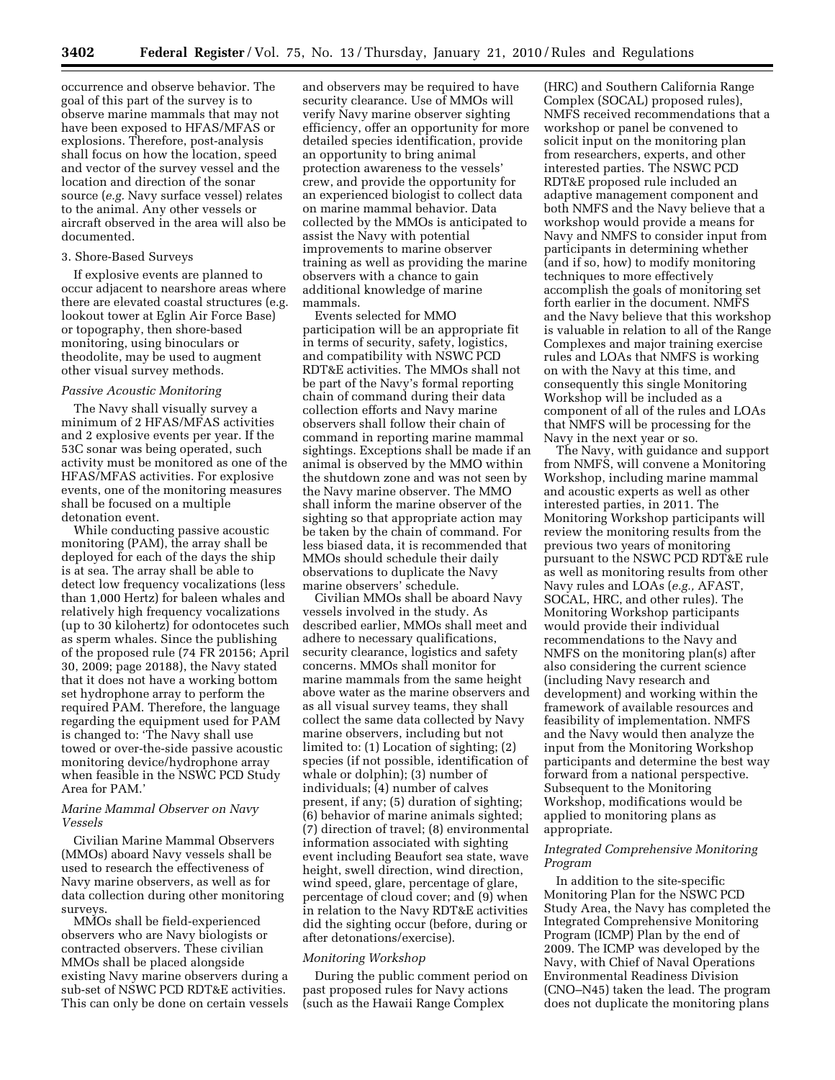occurrence and observe behavior. The goal of this part of the survey is to observe marine mammals that may not have been exposed to HFAS/MFAS or explosions. Therefore, post-analysis shall focus on how the location, speed and vector of the survey vessel and the location and direction of the sonar source (*e.g.* Navy surface vessel) relates to the animal. Any other vessels or aircraft observed in the area will also be documented.

### 3. Shore-Based Surveys

If explosive events are planned to occur adjacent to nearshore areas where there are elevated coastal structures (e.g. lookout tower at Eglin Air Force Base) or topography, then shore-based monitoring, using binoculars or theodolite, may be used to augment other visual survey methods.

#### *Passive Acoustic Monitoring*

The Navy shall visually survey a minimum of 2 HFAS/MFAS activities and 2 explosive events per year. If the 53C sonar was being operated, such activity must be monitored as one of the HFAS/MFAS activities. For explosive events, one of the monitoring measures shall be focused on a multiple detonation event.

While conducting passive acoustic monitoring (PAM), the array shall be deployed for each of the days the ship is at sea. The array shall be able to detect low frequency vocalizations (less than 1,000 Hertz) for baleen whales and relatively high frequency vocalizations (up to 30 kilohertz) for odontocetes such as sperm whales. Since the publishing of the proposed rule (74 FR 20156; April 30, 2009; page 20188), the Navy stated that it does not have a working bottom set hydrophone array to perform the required PAM. Therefore, the language regarding the equipment used for PAM is changed to: 'The Navy shall use towed or over-the-side passive acoustic monitoring device/hydrophone array when feasible in the NSWC PCD Study Area for PAM.'

## *Marine Mammal Observer on Navy Vessels*

Civilian Marine Mammal Observers (MMOs) aboard Navy vessels shall be used to research the effectiveness of Navy marine observers, as well as for data collection during other monitoring surveys.

MMOs shall be field-experienced observers who are Navy biologists or contracted observers. These civilian MMOs shall be placed alongside existing Navy marine observers during a sub-set of NSWC PCD RDT&E activities. This can only be done on certain vessels

and observers may be required to have security clearance. Use of MMOs will verify Navy marine observer sighting efficiency, offer an opportunity for more detailed species identification, provide an opportunity to bring animal protection awareness to the vessels' crew, and provide the opportunity for an experienced biologist to collect data on marine mammal behavior. Data collected by the MMOs is anticipated to assist the Navy with potential improvements to marine observer training as well as providing the marine observers with a chance to gain additional knowledge of marine mammals.

Events selected for MMO participation will be an appropriate fit in terms of security, safety, logistics, and compatibility with NSWC PCD RDT&E activities. The MMOs shall not be part of the Navy's formal reporting chain of command during their data collection efforts and Navy marine observers shall follow their chain of command in reporting marine mammal sightings. Exceptions shall be made if an animal is observed by the MMO within the shutdown zone and was not seen by the Navy marine observer. The MMO shall inform the marine observer of the sighting so that appropriate action may be taken by the chain of command. For less biased data, it is recommended that MMOs should schedule their daily observations to duplicate the Navy marine observers' schedule.

Civilian MMOs shall be aboard Navy vessels involved in the study. As described earlier, MMOs shall meet and adhere to necessary qualifications, security clearance, logistics and safety concerns. MMOs shall monitor for marine mammals from the same height above water as the marine observers and as all visual survey teams, they shall collect the same data collected by Navy marine observers, including but not limited to: (1) Location of sighting; (2) species (if not possible, identification of whale or dolphin); (3) number of individuals; (4) number of calves present, if any; (5) duration of sighting; (6) behavior of marine animals sighted; (7) direction of travel; (8) environmental information associated with sighting event including Beaufort sea state, wave height, swell direction, wind direction, wind speed, glare, percentage of glare, percentage of cloud cover; and (9) when in relation to the Navy RDT&E activities did the sighting occur (before, during or after detonations/exercise).

#### *Monitoring Workshop*

During the public comment period on past proposed rules for Navy actions (such as the Hawaii Range Complex

(HRC) and Southern California Range Complex (SOCAL) proposed rules), NMFS received recommendations that a workshop or panel be convened to solicit input on the monitoring plan from researchers, experts, and other interested parties. The NSWC PCD RDT&E proposed rule included an adaptive management component and both NMFS and the Navy believe that a workshop would provide a means for Navy and NMFS to consider input from participants in determining whether (and if so, how) to modify monitoring techniques to more effectively accomplish the goals of monitoring set forth earlier in the document. NMFS and the Navy believe that this workshop is valuable in relation to all of the Range Complexes and major training exercise rules and LOAs that NMFS is working on with the Navy at this time, and consequently this single Monitoring Workshop will be included as a component of all of the rules and LOAs that NMFS will be processing for the Navy in the next year or so.

The Navy, with guidance and support from NMFS, will convene a Monitoring Workshop, including marine mammal and acoustic experts as well as other interested parties, in 2011. The Monitoring Workshop participants will review the monitoring results from the previous two years of monitoring pursuant to the NSWC PCD RDT&E rule as well as monitoring results from other Navy rules and LOAs (*e.g.,* AFAST, SOCAL, HRC, and other rules). The Monitoring Workshop participants would provide their individual recommendations to the Navy and NMFS on the monitoring plan(s) after also considering the current science (including Navy research and development) and working within the framework of available resources and feasibility of implementation. NMFS and the Navy would then analyze the input from the Monitoring Workshop participants and determine the best way forward from a national perspective. Subsequent to the Monitoring Workshop, modifications would be applied to monitoring plans as appropriate.

# *Integrated Comprehensive Monitoring Program*

In addition to the site-specific Monitoring Plan for the NSWC PCD Study Area, the Navy has completed the Integrated Comprehensive Monitoring Program (ICMP) Plan by the end of 2009. The ICMP was developed by the Navy, with Chief of Naval Operations Environmental Readiness Division (CNO–N45) taken the lead. The program does not duplicate the monitoring plans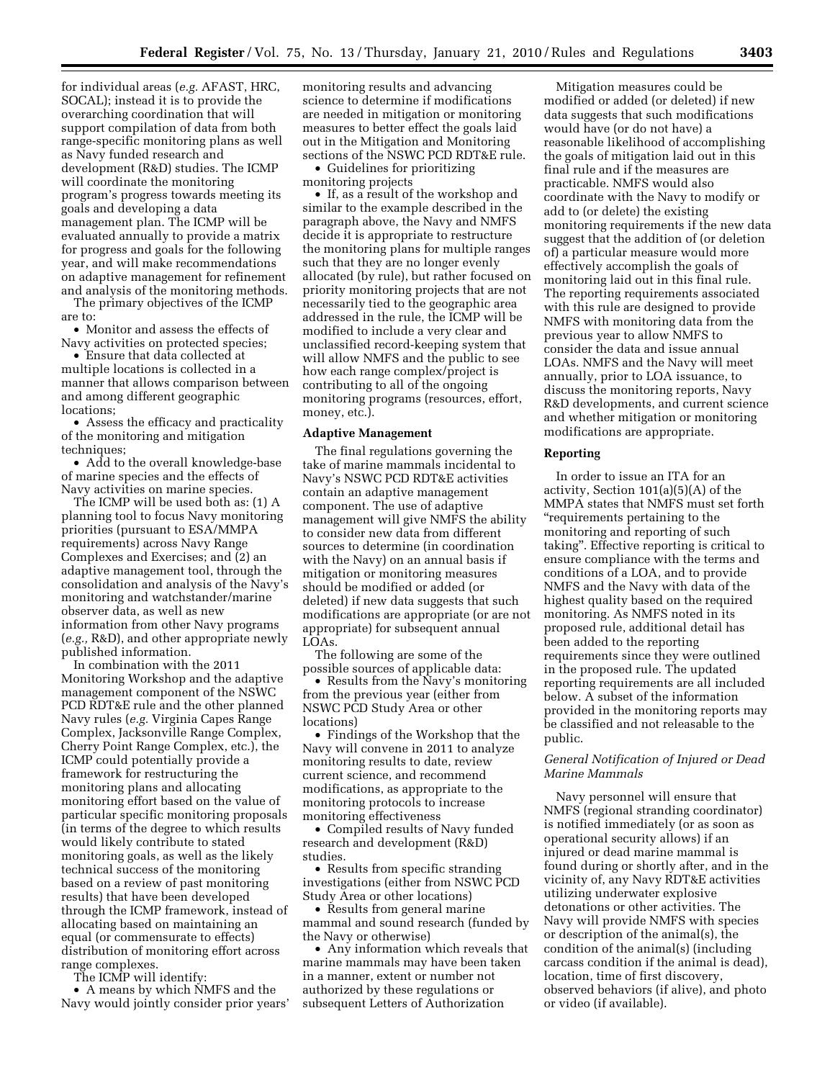for individual areas (*e.g.* AFAST, HRC, SOCAL); instead it is to provide the overarching coordination that will support compilation of data from both range-specific monitoring plans as well as Navy funded research and development (R&D) studies. The ICMP will coordinate the monitoring program's progress towards meeting its goals and developing a data management plan. The ICMP will be evaluated annually to provide a matrix for progress and goals for the following year, and will make recommendations on adaptive management for refinement and analysis of the monitoring methods.

The primary objectives of the ICMP are to:

• Monitor and assess the effects of Navy activities on protected species;

• Ensure that data collected at multiple locations is collected in a manner that allows comparison between and among different geographic locations;

• Assess the efficacy and practicality of the monitoring and mitigation techniques;

• Add to the overall knowledge-base of marine species and the effects of Navy activities on marine species.

The ICMP will be used both as: (1) A planning tool to focus Navy monitoring priorities (pursuant to ESA/MMPA requirements) across Navy Range Complexes and Exercises; and (2) an adaptive management tool, through the consolidation and analysis of the Navy's monitoring and watchstander/marine observer data, as well as new information from other Navy programs (*e.g.,* R&D), and other appropriate newly published information.

In combination with the 2011 Monitoring Workshop and the adaptive management component of the NSWC PCD RDT&E rule and the other planned Navy rules (*e.g.* Virginia Capes Range Complex, Jacksonville Range Complex, Cherry Point Range Complex, etc.), the ICMP could potentially provide a framework for restructuring the monitoring plans and allocating monitoring effort based on the value of particular specific monitoring proposals (in terms of the degree to which results would likely contribute to stated monitoring goals, as well as the likely technical success of the monitoring based on a review of past monitoring results) that have been developed through the ICMP framework, instead of allocating based on maintaining an equal (or commensurate to effects) distribution of monitoring effort across range complexes.

The ICMP will identify:

• A means by which NMFS and the Navy would jointly consider prior years' monitoring results and advancing science to determine if modifications are needed in mitigation or monitoring measures to better effect the goals laid out in the Mitigation and Monitoring sections of the NSWC PCD RDT&E rule.

• Guidelines for prioritizing monitoring projects

• If, as a result of the workshop and similar to the example described in the paragraph above, the Navy and NMFS decide it is appropriate to restructure the monitoring plans for multiple ranges such that they are no longer evenly allocated (by rule), but rather focused on priority monitoring projects that are not necessarily tied to the geographic area addressed in the rule, the ICMP will be modified to include a very clear and unclassified record-keeping system that will allow NMFS and the public to see how each range complex/project is contributing to all of the ongoing monitoring programs (resources, effort, money, etc.).

### **Adaptive Management**

The final regulations governing the take of marine mammals incidental to Navy's NSWC PCD RDT&E activities contain an adaptive management component. The use of adaptive management will give NMFS the ability to consider new data from different sources to determine (in coordination with the Navy) on an annual basis if mitigation or monitoring measures should be modified or added (or deleted) if new data suggests that such modifications are appropriate (or are not appropriate) for subsequent annual LOAs.

The following are some of the possible sources of applicable data:

• Results from the Navy's monitoring from the previous year (either from NSWC PCD Study Area or other locations)

• Findings of the Workshop that the Navy will convene in 2011 to analyze monitoring results to date, review current science, and recommend modifications, as appropriate to the monitoring protocols to increase monitoring effectiveness

• Compiled results of Navy funded research and development (R&D) studies.

• Results from specific stranding investigations (either from NSWC PCD Study Area or other locations)

• Results from general marine mammal and sound research (funded by the Navy or otherwise)

• Any information which reveals that marine mammals may have been taken in a manner, extent or number not authorized by these regulations or subsequent Letters of Authorization

Mitigation measures could be modified or added (or deleted) if new data suggests that such modifications would have (or do not have) a reasonable likelihood of accomplishing the goals of mitigation laid out in this final rule and if the measures are practicable. NMFS would also coordinate with the Navy to modify or add to (or delete) the existing monitoring requirements if the new data suggest that the addition of (or deletion of) a particular measure would more effectively accomplish the goals of monitoring laid out in this final rule. The reporting requirements associated with this rule are designed to provide NMFS with monitoring data from the previous year to allow NMFS to consider the data and issue annual LOAs. NMFS and the Navy will meet annually, prior to LOA issuance, to discuss the monitoring reports, Navy R&D developments, and current science and whether mitigation or monitoring modifications are appropriate.

#### **Reporting**

In order to issue an ITA for an activity, Section 101(a)(5)(A) of the MMPA states that NMFS must set forth ''requirements pertaining to the monitoring and reporting of such taking''. Effective reporting is critical to ensure compliance with the terms and conditions of a LOA, and to provide NMFS and the Navy with data of the highest quality based on the required monitoring. As NMFS noted in its proposed rule, additional detail has been added to the reporting requirements since they were outlined in the proposed rule. The updated reporting requirements are all included below. A subset of the information provided in the monitoring reports may be classified and not releasable to the public.

# *General Notification of Injured or Dead Marine Mammals*

Navy personnel will ensure that NMFS (regional stranding coordinator) is notified immediately (or as soon as operational security allows) if an injured or dead marine mammal is found during or shortly after, and in the vicinity of, any Navy RDT&E activities utilizing underwater explosive detonations or other activities. The Navy will provide NMFS with species or description of the animal(s), the condition of the animal(s) (including carcass condition if the animal is dead), location, time of first discovery, observed behaviors (if alive), and photo or video (if available).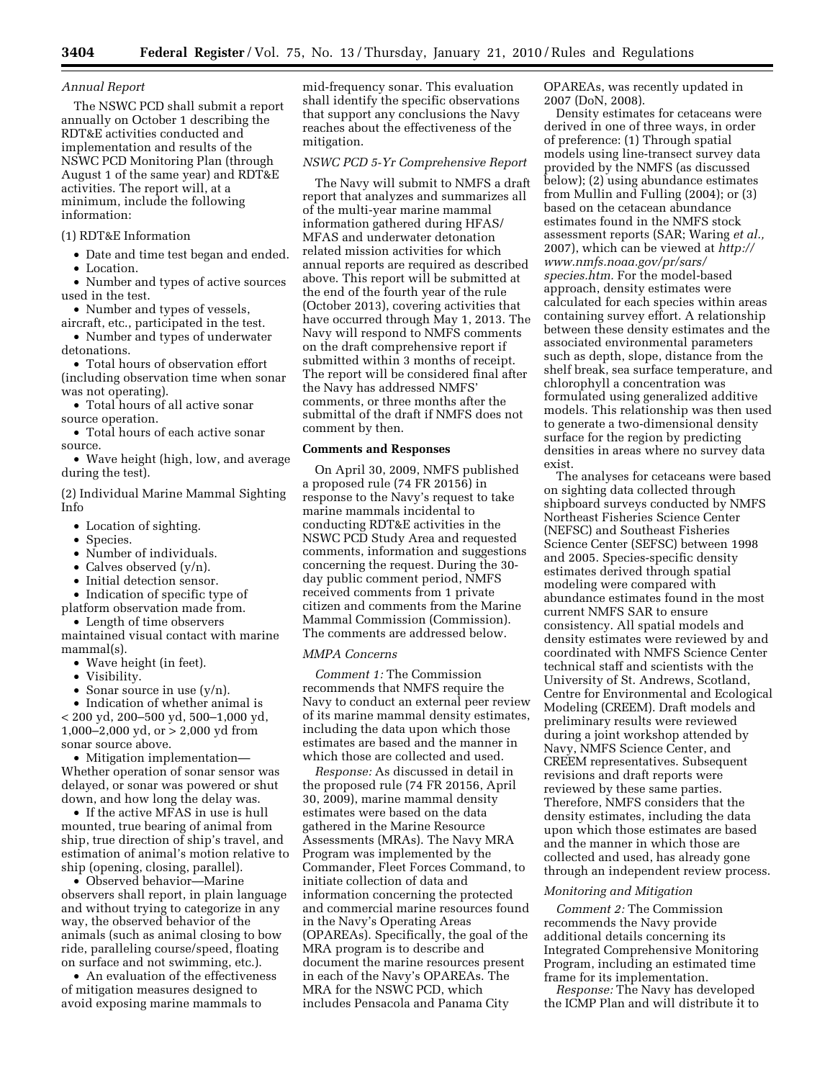# *Annual Report*

The NSWC PCD shall submit a report annually on October 1 describing the RDT&E activities conducted and implementation and results of the NSWC PCD Monitoring Plan (through August 1 of the same year) and RDT&E activities. The report will, at a minimum, include the following information:

#### (1) RDT&E Information

• Date and time test began and ended.

• Location.

- Number and types of active sources used in the test.
- Number and types of vessels,
- aircraft, etc., participated in the test. • Number and types of underwater detonations.
- Total hours of observation effort (including observation time when sonar
- was not operating). • Total hours of all active sonar
- source operation.

• Total hours of each active sonar source.

• Wave height (high, low, and average during the test).

(2) Individual Marine Mammal Sighting Info

- Location of sighting.
- Species.
- Number of individuals.
- Calves observed (y/n).
- Initial detection sensor.
- Indication of specific type of

platform observation made from. • Length of time observers

maintained visual contact with marine mammal(s).

- Wave height (in feet).
- Visibility.
- Sonar source in use  $(y/n)$ .

• Indication of whether animal is < 200 yd, 200–500 yd, 500–1,000 yd, 1,000–2,000 yd, or > 2,000 yd from sonar source above.

• Mitigation implementation— Whether operation of sonar sensor was delayed, or sonar was powered or shut down, and how long the delay was.

• If the active MFAS in use is hull mounted, true bearing of animal from ship, true direction of ship's travel, and estimation of animal's motion relative to ship (opening, closing, parallel).

• Observed behavior—Marine observers shall report, in plain language and without trying to categorize in any way, the observed behavior of the animals (such as animal closing to bow ride, paralleling course/speed, floating on surface and not swimming, etc.).

• An evaluation of the effectiveness of mitigation measures designed to avoid exposing marine mammals to

mid-frequency sonar. This evaluation shall identify the specific observations that support any conclusions the Navy reaches about the effectiveness of the mitigation.

### *NSWC PCD 5-Yr Comprehensive Report*

The Navy will submit to NMFS a draft report that analyzes and summarizes all of the multi-year marine mammal information gathered during HFAS/ MFAS and underwater detonation related mission activities for which annual reports are required as described above. This report will be submitted at the end of the fourth year of the rule (October 2013), covering activities that have occurred through May 1, 2013. The Navy will respond to NMFS comments on the draft comprehensive report if submitted within 3 months of receipt. The report will be considered final after the Navy has addressed NMFS' comments, or three months after the submittal of the draft if NMFS does not comment by then.

### **Comments and Responses**

On April 30, 2009, NMFS published a proposed rule (74 FR 20156) in response to the Navy's request to take marine mammals incidental to conducting RDT&E activities in the NSWC PCD Study Area and requested comments, information and suggestions concerning the request. During the 30 day public comment period, NMFS received comments from 1 private citizen and comments from the Marine Mammal Commission (Commission). The comments are addressed below.

# *MMPA Concerns*

*Comment 1:* The Commission recommends that NMFS require the Navy to conduct an external peer review of its marine mammal density estimates, including the data upon which those estimates are based and the manner in which those are collected and used.

*Response:* As discussed in detail in the proposed rule (74 FR 20156, April 30, 2009), marine mammal density estimates were based on the data gathered in the Marine Resource Assessments (MRAs). The Navy MRA Program was implemented by the Commander, Fleet Forces Command, to initiate collection of data and information concerning the protected and commercial marine resources found in the Navy's Operating Areas (OPAREAs). Specifically, the goal of the MRA program is to describe and document the marine resources present in each of the Navy's OPAREAs. The MRA for the NSWC PCD, which includes Pensacola and Panama City

OPAREAs, was recently updated in 2007 (DoN, 2008).

Density estimates for cetaceans were derived in one of three ways, in order of preference: (1) Through spatial models using line-transect survey data provided by the NMFS (as discussed below); (2) using abundance estimates from Mullin and Fulling (2004); or (3) based on the cetacean abundance estimates found in the NMFS stock assessment reports (SAR; Waring *et al.,*  2007), which can be viewed at *http:// www.nmfs.noaa.gov/pr/sars/ species.htm.* For the model-based approach, density estimates were calculated for each species within areas containing survey effort. A relationship between these density estimates and the associated environmental parameters such as depth, slope, distance from the shelf break, sea surface temperature, and chlorophyll a concentration was formulated using generalized additive models. This relationship was then used to generate a two-dimensional density surface for the region by predicting densities in areas where no survey data exist.

The analyses for cetaceans were based on sighting data collected through shipboard surveys conducted by NMFS Northeast Fisheries Science Center (NEFSC) and Southeast Fisheries Science Center (SEFSC) between 1998 and 2005. Species-specific density estimates derived through spatial modeling were compared with abundance estimates found in the most current NMFS SAR to ensure consistency. All spatial models and density estimates were reviewed by and coordinated with NMFS Science Center technical staff and scientists with the University of St. Andrews, Scotland, Centre for Environmental and Ecological Modeling (CREEM). Draft models and preliminary results were reviewed during a joint workshop attended by Navy, NMFS Science Center, and CREEM representatives. Subsequent revisions and draft reports were reviewed by these same parties. Therefore, NMFS considers that the density estimates, including the data upon which those estimates are based and the manner in which those are collected and used, has already gone through an independent review process.

#### *Monitoring and Mitigation*

*Comment 2:* The Commission recommends the Navy provide additional details concerning its Integrated Comprehensive Monitoring Program, including an estimated time frame for its implementation.

*Response:* The Navy has developed the ICMP Plan and will distribute it to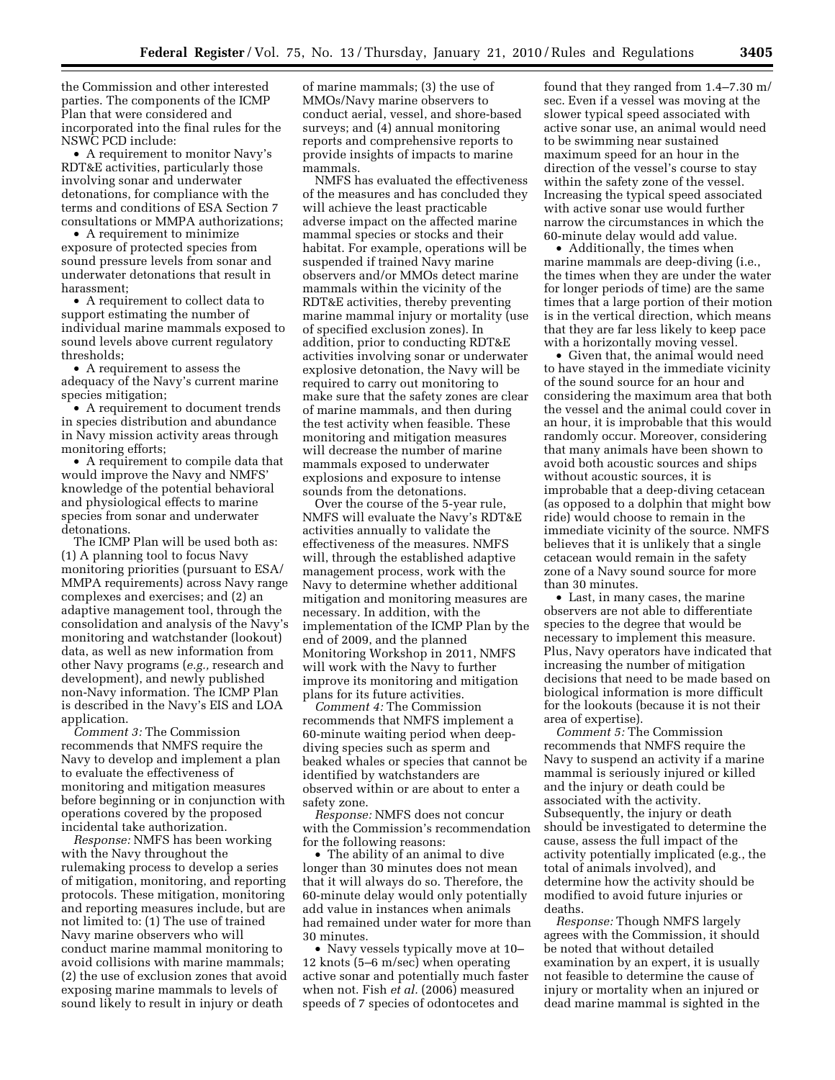the Commission and other interested parties. The components of the ICMP Plan that were considered and incorporated into the final rules for the NSWC PCD include:

• A requirement to monitor Navy's RDT&E activities, particularly those involving sonar and underwater detonations, for compliance with the terms and conditions of ESA Section 7 consultations or MMPA authorizations;

• A requirement to minimize exposure of protected species from sound pressure levels from sonar and underwater detonations that result in harassment;

• A requirement to collect data to support estimating the number of individual marine mammals exposed to sound levels above current regulatory thresholds;

• A requirement to assess the adequacy of the Navy's current marine species mitigation;

• A requirement to document trends in species distribution and abundance in Navy mission activity areas through monitoring efforts;

• A requirement to compile data that would improve the Navy and NMFS' knowledge of the potential behavioral and physiological effects to marine species from sonar and underwater detonations.

The ICMP Plan will be used both as: (1) A planning tool to focus Navy monitoring priorities (pursuant to ESA/ MMPA requirements) across Navy range complexes and exercises; and (2) an adaptive management tool, through the consolidation and analysis of the Navy's monitoring and watchstander (lookout) data, as well as new information from other Navy programs (*e.g.,* research and development), and newly published non-Navy information. The ICMP Plan is described in the Navy's EIS and LOA application.

*Comment 3:* The Commission recommends that NMFS require the Navy to develop and implement a plan to evaluate the effectiveness of monitoring and mitigation measures before beginning or in conjunction with operations covered by the proposed incidental take authorization.

*Response:* NMFS has been working with the Navy throughout the rulemaking process to develop a series of mitigation, monitoring, and reporting protocols. These mitigation, monitoring and reporting measures include, but are not limited to: (1) The use of trained Navy marine observers who will conduct marine mammal monitoring to avoid collisions with marine mammals; (2) the use of exclusion zones that avoid exposing marine mammals to levels of sound likely to result in injury or death

of marine mammals; (3) the use of MMOs/Navy marine observers to conduct aerial, vessel, and shore-based surveys; and (4) annual monitoring reports and comprehensive reports to provide insights of impacts to marine mammals.

NMFS has evaluated the effectiveness of the measures and has concluded they will achieve the least practicable adverse impact on the affected marine mammal species or stocks and their habitat. For example, operations will be suspended if trained Navy marine observers and/or MMOs detect marine mammals within the vicinity of the RDT&E activities, thereby preventing marine mammal injury or mortality (use of specified exclusion zones). In addition, prior to conducting RDT&E activities involving sonar or underwater explosive detonation, the Navy will be required to carry out monitoring to make sure that the safety zones are clear of marine mammals, and then during the test activity when feasible. These monitoring and mitigation measures will decrease the number of marine mammals exposed to underwater explosions and exposure to intense sounds from the detonations.

Over the course of the 5-year rule, NMFS will evaluate the Navy's RDT&E activities annually to validate the effectiveness of the measures. NMFS will, through the established adaptive management process, work with the Navy to determine whether additional mitigation and monitoring measures are necessary. In addition, with the implementation of the ICMP Plan by the end of 2009, and the planned Monitoring Workshop in 2011, NMFS will work with the Navy to further improve its monitoring and mitigation plans for its future activities.

*Comment 4:* The Commission recommends that NMFS implement a 60-minute waiting period when deepdiving species such as sperm and beaked whales or species that cannot be identified by watchstanders are observed within or are about to enter a safety zone.

*Response:* NMFS does not concur with the Commission's recommendation for the following reasons:

• The ability of an animal to dive longer than 30 minutes does not mean that it will always do so. Therefore, the 60-minute delay would only potentially add value in instances when animals had remained under water for more than 30 minutes.

• Navy vessels typically move at 10– 12 knots (5–6 m/sec) when operating active sonar and potentially much faster when not. Fish *et al.* (2006) measured speeds of 7 species of odontocetes and

found that they ranged from 1.4–7.30 m/ sec. Even if a vessel was moving at the slower typical speed associated with active sonar use, an animal would need to be swimming near sustained maximum speed for an hour in the direction of the vessel's course to stay within the safety zone of the vessel. Increasing the typical speed associated with active sonar use would further narrow the circumstances in which the 60-minute delay would add value.

• Additionally, the times when marine mammals are deep-diving (i.e., the times when they are under the water for longer periods of time) are the same times that a large portion of their motion is in the vertical direction, which means that they are far less likely to keep pace with a horizontally moving vessel.

• Given that, the animal would need to have stayed in the immediate vicinity of the sound source for an hour and considering the maximum area that both the vessel and the animal could cover in an hour, it is improbable that this would randomly occur. Moreover, considering that many animals have been shown to avoid both acoustic sources and ships without acoustic sources, it is improbable that a deep-diving cetacean (as opposed to a dolphin that might bow ride) would choose to remain in the immediate vicinity of the source. NMFS believes that it is unlikely that a single cetacean would remain in the safety zone of a Navy sound source for more than 30 minutes.

• Last, in many cases, the marine observers are not able to differentiate species to the degree that would be necessary to implement this measure. Plus, Navy operators have indicated that increasing the number of mitigation decisions that need to be made based on biological information is more difficult for the lookouts (because it is not their area of expertise).

*Comment 5:* The Commission recommends that NMFS require the Navy to suspend an activity if a marine mammal is seriously injured or killed and the injury or death could be associated with the activity. Subsequently, the injury or death should be investigated to determine the cause, assess the full impact of the activity potentially implicated (e.g., the total of animals involved), and determine how the activity should be modified to avoid future injuries or deaths.

*Response:* Though NMFS largely agrees with the Commission, it should be noted that without detailed examination by an expert, it is usually not feasible to determine the cause of injury or mortality when an injured or dead marine mammal is sighted in the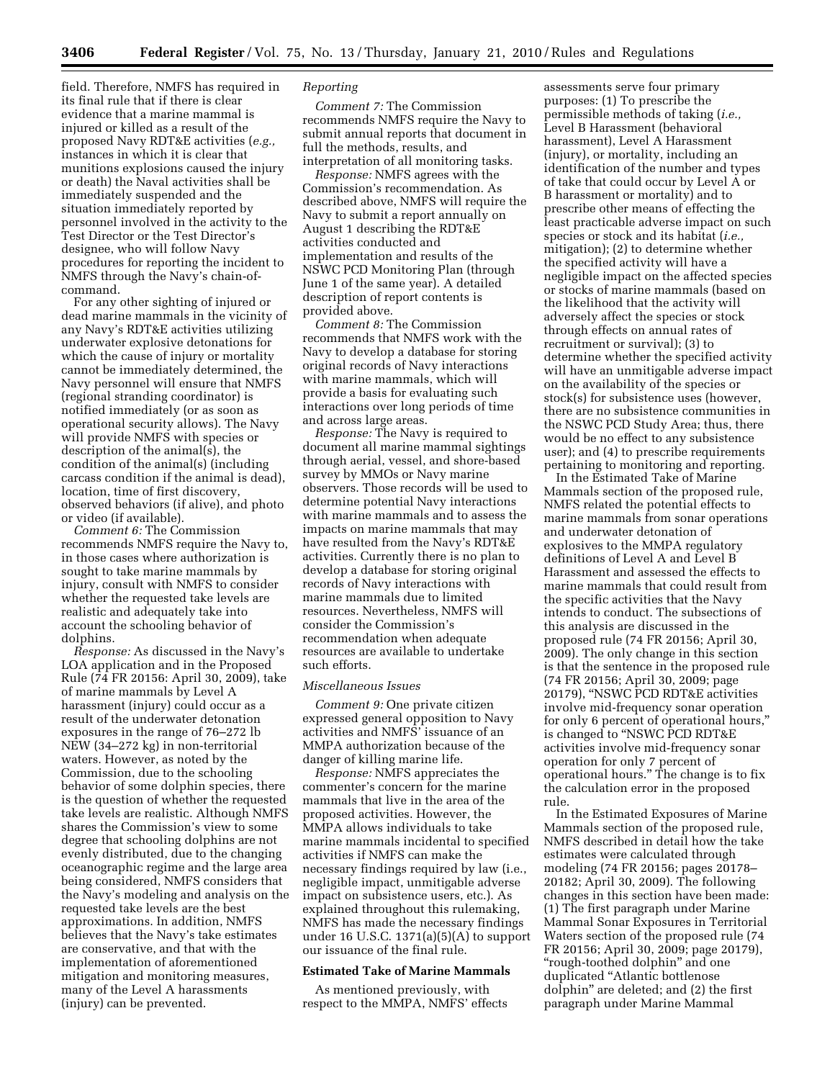**3406 Federal Register** / Vol. 75, No. 13 / Thursday, January 21, 2010 / Rules and Regulations

field. Therefore, NMFS has required in its final rule that if there is clear evidence that a marine mammal is injured or killed as a result of the proposed Navy RDT&E activities (*e.g.,*  instances in which it is clear that munitions explosions caused the injury or death) the Naval activities shall be immediately suspended and the situation immediately reported by personnel involved in the activity to the Test Director or the Test Director's designee, who will follow Navy procedures for reporting the incident to NMFS through the Navy's chain-ofcommand.

For any other sighting of injured or dead marine mammals in the vicinity of any Navy's RDT&E activities utilizing underwater explosive detonations for which the cause of injury or mortality cannot be immediately determined, the Navy personnel will ensure that NMFS (regional stranding coordinator) is notified immediately (or as soon as operational security allows). The Navy will provide NMFS with species or description of the animal(s), the condition of the animal(s) (including carcass condition if the animal is dead), location, time of first discovery, observed behaviors (if alive), and photo or video (if available).

*Comment 6:* The Commission recommends NMFS require the Navy to, in those cases where authorization is sought to take marine mammals by injury, consult with NMFS to consider whether the requested take levels are realistic and adequately take into account the schooling behavior of dolphins.

*Response:* As discussed in the Navy's LOA application and in the Proposed Rule (74 FR 20156: April 30, 2009), take of marine mammals by Level A harassment (injury) could occur as a result of the underwater detonation exposures in the range of 76–272 lb NEW (34–272 kg) in non-territorial waters. However, as noted by the Commission, due to the schooling behavior of some dolphin species, there is the question of whether the requested take levels are realistic. Although NMFS shares the Commission's view to some degree that schooling dolphins are not evenly distributed, due to the changing oceanographic regime and the large area being considered, NMFS considers that the Navy's modeling and analysis on the requested take levels are the best approximations. In addition, NMFS believes that the Navy's take estimates are conservative, and that with the implementation of aforementioned mitigation and monitoring measures, many of the Level A harassments (injury) can be prevented.

### *Reporting*

*Comment 7:* The Commission recommends NMFS require the Navy to submit annual reports that document in full the methods, results, and interpretation of all monitoring tasks.

*Response:* NMFS agrees with the Commission's recommendation. As described above, NMFS will require the Navy to submit a report annually on August 1 describing the RDT&E activities conducted and implementation and results of the NSWC PCD Monitoring Plan (through June 1 of the same year). A detailed description of report contents is provided above.

*Comment 8:* The Commission recommends that NMFS work with the Navy to develop a database for storing original records of Navy interactions with marine mammals, which will provide a basis for evaluating such interactions over long periods of time and across large areas.

*Response:* The Navy is required to document all marine mammal sightings through aerial, vessel, and shore-based survey by MMOs or Navy marine observers. Those records will be used to determine potential Navy interactions with marine mammals and to assess the impacts on marine mammals that may have resulted from the Navy's RDT&E activities. Currently there is no plan to develop a database for storing original records of Navy interactions with marine mammals due to limited resources. Nevertheless, NMFS will consider the Commission's recommendation when adequate resources are available to undertake such efforts.

#### *Miscellaneous Issues*

*Comment 9:* One private citizen expressed general opposition to Navy activities and NMFS' issuance of an MMPA authorization because of the danger of killing marine life.

*Response:* NMFS appreciates the commenter's concern for the marine mammals that live in the area of the proposed activities. However, the MMPA allows individuals to take marine mammals incidental to specified activities if NMFS can make the necessary findings required by law (i.e., negligible impact, unmitigable adverse impact on subsistence users, etc.). As explained throughout this rulemaking, NMFS has made the necessary findings under 16 U.S.C. 1371(a)(5)(A) to support our issuance of the final rule.

#### **Estimated Take of Marine Mammals**

As mentioned previously, with respect to the MMPA, NMFS' effects

assessments serve four primary purposes: (1) To prescribe the permissible methods of taking (*i.e.,*  Level B Harassment (behavioral harassment), Level A Harassment (injury), or mortality, including an identification of the number and types of take that could occur by Level A or B harassment or mortality) and to prescribe other means of effecting the least practicable adverse impact on such species or stock and its habitat (*i.e.,*  mitigation); (2) to determine whether the specified activity will have a negligible impact on the affected species or stocks of marine mammals (based on the likelihood that the activity will adversely affect the species or stock through effects on annual rates of recruitment or survival); (3) to determine whether the specified activity will have an unmitigable adverse impact on the availability of the species or stock(s) for subsistence uses (however, there are no subsistence communities in the NSWC PCD Study Area; thus, there would be no effect to any subsistence user); and (4) to prescribe requirements pertaining to monitoring and reporting.

In the Estimated Take of Marine Mammals section of the proposed rule, NMFS related the potential effects to marine mammals from sonar operations and underwater detonation of explosives to the MMPA regulatory definitions of Level A and Level B Harassment and assessed the effects to marine mammals that could result from the specific activities that the Navy intends to conduct. The subsections of this analysis are discussed in the proposed rule (74 FR 20156; April 30, 2009). The only change in this section is that the sentence in the proposed rule (74 FR 20156; April 30, 2009; page 20179), ''NSWC PCD RDT&E activities involve mid-frequency sonar operation for only 6 percent of operational hours,'' is changed to "NSWC PCD RDT&E activities involve mid-frequency sonar operation for only 7 percent of operational hours.'' The change is to fix the calculation error in the proposed rule.

In the Estimated Exposures of Marine Mammals section of the proposed rule, NMFS described in detail how the take estimates were calculated through modeling (74 FR 20156; pages 20178– 20182; April 30, 2009). The following changes in this section have been made: (1) The first paragraph under Marine Mammal Sonar Exposures in Territorial Waters section of the proposed rule (74 FR 20156; April 30, 2009; page 20179), "rough-toothed dolphin" and one duplicated ''Atlantic bottlenose dolphin'' are deleted; and (2) the first paragraph under Marine Mammal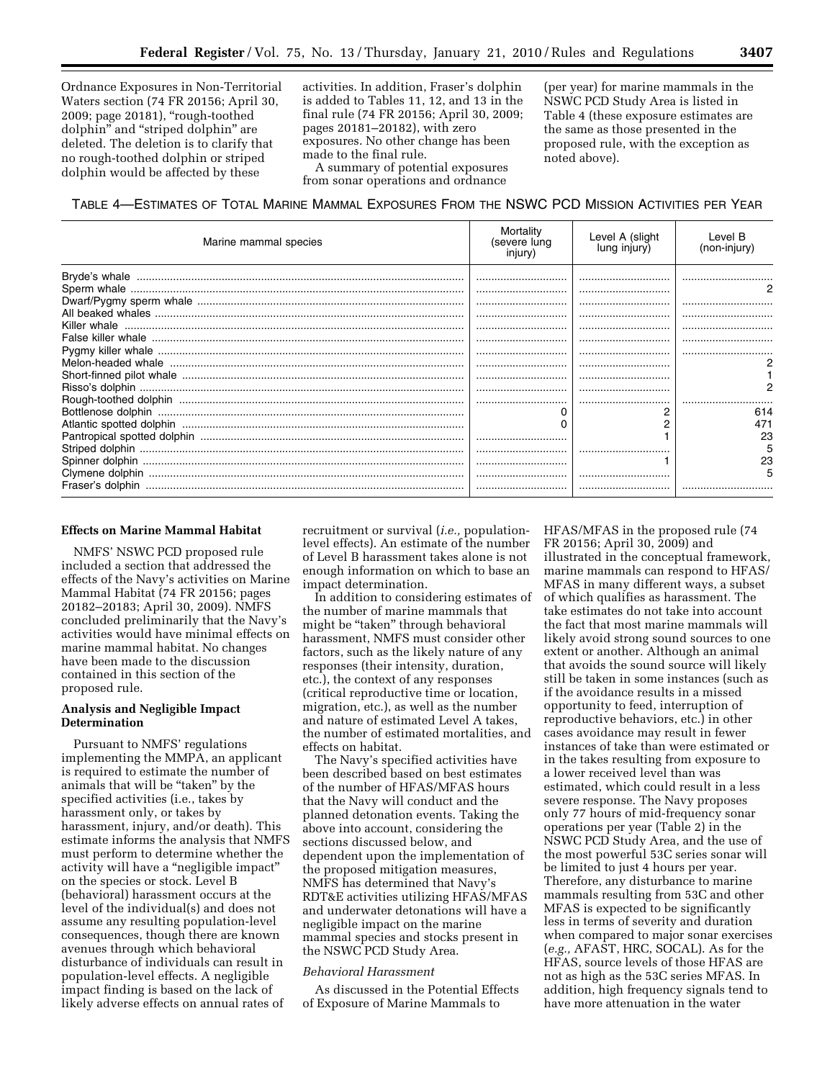Ordnance Exposures in Non-Territorial Waters section (74 FR 20156; April 30, 2009; page 20181), ''rough-toothed dolphin'' and ''striped dolphin'' are deleted. The deletion is to clarify that no rough-toothed dolphin or striped dolphin would be affected by these

activities. In addition, Fraser's dolphin is added to Tables 11, 12, and 13 in the final rule (74 FR 20156; April 30, 2009; pages 20181–20182), with zero exposures. No other change has been made to the final rule.

A summary of potential exposures from sonar operations and ordnance

(per year) for marine mammals in the NSWC PCD Study Area is listed in Table 4 (these exposure estimates are the same as those presented in the proposed rule, with the exception as noted above).

TABLE 4—ESTIMATES OF TOTAL MARINE MAMMAL EXPOSURES FROM THE NSWC PCD MISSION ACTIVITIES PER YEAR

| Marine mammal species | Mortality<br>(severe lung<br>injury) | Level A (slight<br>lung injury) | Level B<br>(non-injury) |  |
|-----------------------|--------------------------------------|---------------------------------|-------------------------|--|
|                       |                                      |                                 |                         |  |
|                       |                                      |                                 |                         |  |
|                       |                                      |                                 |                         |  |
|                       |                                      |                                 |                         |  |
|                       |                                      |                                 |                         |  |
|                       |                                      |                                 |                         |  |
|                       |                                      |                                 |                         |  |
|                       |                                      |                                 |                         |  |
|                       |                                      |                                 |                         |  |
|                       |                                      |                                 |                         |  |
|                       |                                      |                                 |                         |  |
|                       |                                      |                                 | 614                     |  |
|                       |                                      |                                 |                         |  |
|                       |                                      |                                 | 23                      |  |
|                       |                                      |                                 | 5                       |  |
|                       |                                      |                                 | 23                      |  |
|                       |                                      |                                 | h                       |  |
|                       |                                      |                                 |                         |  |

### **Effects on Marine Mammal Habitat**

NMFS' NSWC PCD proposed rule included a section that addressed the effects of the Navy's activities on Marine Mammal Habitat (74 FR 20156; pages 20182–20183; April 30, 2009). NMFS concluded preliminarily that the Navy's activities would have minimal effects on marine mammal habitat. No changes have been made to the discussion contained in this section of the proposed rule.

# **Analysis and Negligible Impact Determination**

Pursuant to NMFS' regulations implementing the MMPA, an applicant is required to estimate the number of animals that will be "taken" by the specified activities (i.e., takes by harassment only, or takes by harassment, injury, and/or death). This estimate informs the analysis that NMFS must perform to determine whether the activity will have a ''negligible impact'' on the species or stock. Level B (behavioral) harassment occurs at the level of the individual(s) and does not assume any resulting population-level consequences, though there are known avenues through which behavioral disturbance of individuals can result in population-level effects. A negligible impact finding is based on the lack of likely adverse effects on annual rates of

recruitment or survival (*i.e.,* populationlevel effects). An estimate of the number of Level B harassment takes alone is not enough information on which to base an impact determination.

In addition to considering estimates of the number of marine mammals that might be "taken" through behavioral harassment, NMFS must consider other factors, such as the likely nature of any responses (their intensity, duration, etc.), the context of any responses (critical reproductive time or location, migration, etc.), as well as the number and nature of estimated Level A takes, the number of estimated mortalities, and effects on habitat.

The Navy's specified activities have been described based on best estimates of the number of HFAS/MFAS hours that the Navy will conduct and the planned detonation events. Taking the above into account, considering the sections discussed below, and dependent upon the implementation of the proposed mitigation measures, NMFS has determined that Navy's RDT&E activities utilizing HFAS/MFAS and underwater detonations will have a negligible impact on the marine mammal species and stocks present in the NSWC PCD Study Area.

# *Behavioral Harassment*

As discussed in the Potential Effects of Exposure of Marine Mammals to

HFAS/MFAS in the proposed rule (74 FR 20156; April 30, 2009) and illustrated in the conceptual framework, marine mammals can respond to HFAS/ MFAS in many different ways, a subset of which qualifies as harassment. The take estimates do not take into account the fact that most marine mammals will likely avoid strong sound sources to one extent or another. Although an animal that avoids the sound source will likely still be taken in some instances (such as if the avoidance results in a missed opportunity to feed, interruption of reproductive behaviors, etc.) in other cases avoidance may result in fewer instances of take than were estimated or in the takes resulting from exposure to a lower received level than was estimated, which could result in a less severe response. The Navy proposes only 77 hours of mid-frequency sonar operations per year (Table 2) in the NSWC PCD Study Area, and the use of the most powerful 53C series sonar will be limited to just 4 hours per year. Therefore, any disturbance to marine mammals resulting from 53C and other MFAS is expected to be significantly less in terms of severity and duration when compared to major sonar exercises (*e.g.,* AFAST, HRC, SOCAL). As for the HFAS, source levels of those HFAS are not as high as the 53C series MFAS. In addition, high frequency signals tend to have more attenuation in the water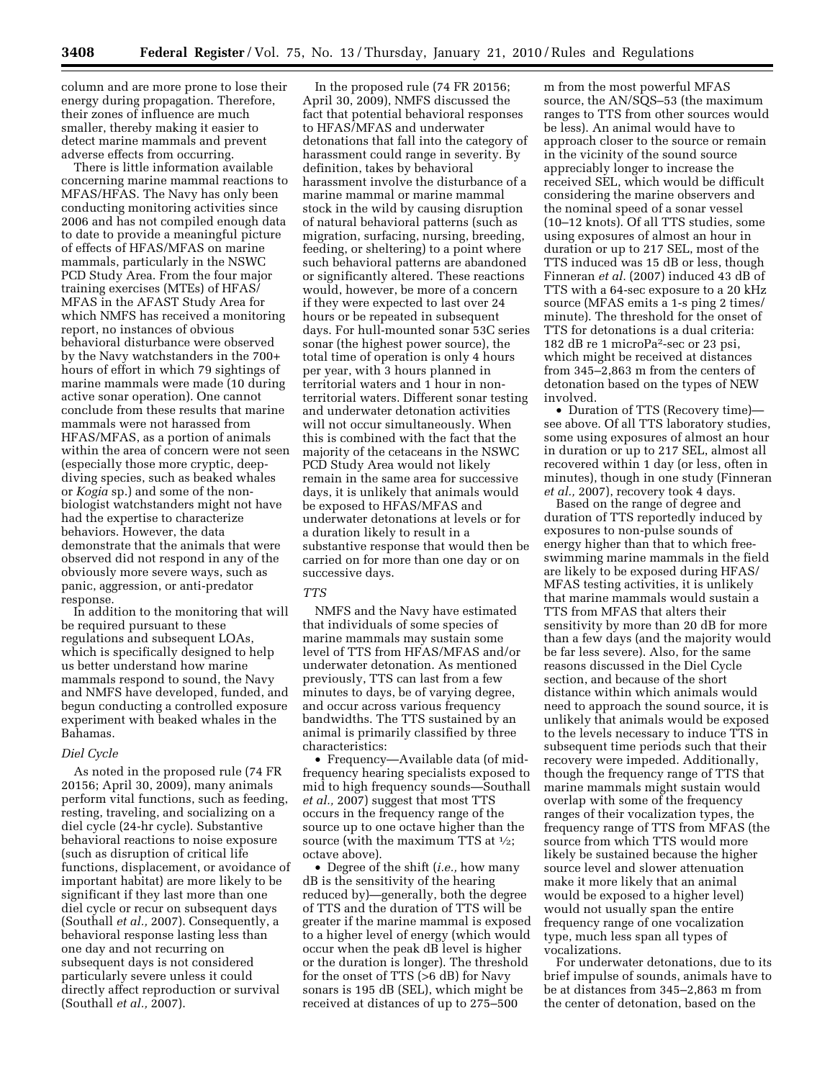column and are more prone to lose their energy during propagation. Therefore, their zones of influence are much smaller, thereby making it easier to detect marine mammals and prevent adverse effects from occurring.

There is little information available concerning marine mammal reactions to MFAS/HFAS. The Navy has only been conducting monitoring activities since 2006 and has not compiled enough data to date to provide a meaningful picture of effects of HFAS/MFAS on marine mammals, particularly in the NSWC PCD Study Area. From the four major training exercises (MTEs) of HFAS/ MFAS in the AFAST Study Area for which NMFS has received a monitoring report, no instances of obvious behavioral disturbance were observed by the Navy watchstanders in the 700+ hours of effort in which 79 sightings of marine mammals were made (10 during active sonar operation). One cannot conclude from these results that marine mammals were not harassed from HFAS/MFAS, as a portion of animals within the area of concern were not seen (especially those more cryptic, deepdiving species, such as beaked whales or *Kogia* sp.) and some of the nonbiologist watchstanders might not have had the expertise to characterize behaviors. However, the data demonstrate that the animals that were observed did not respond in any of the obviously more severe ways, such as panic, aggression, or anti-predator response.

In addition to the monitoring that will be required pursuant to these regulations and subsequent LOAs, which is specifically designed to help us better understand how marine mammals respond to sound, the Navy and NMFS have developed, funded, and begun conducting a controlled exposure experiment with beaked whales in the Bahamas.

#### *Diel Cycle*

As noted in the proposed rule (74 FR 20156; April 30, 2009), many animals perform vital functions, such as feeding, resting, traveling, and socializing on a diel cycle (24-hr cycle). Substantive behavioral reactions to noise exposure (such as disruption of critical life functions, displacement, or avoidance of important habitat) are more likely to be significant if they last more than one diel cycle or recur on subsequent days (Southall *et al.,* 2007). Consequently, a behavioral response lasting less than one day and not recurring on subsequent days is not considered particularly severe unless it could directly affect reproduction or survival (Southall *et al.,* 2007).

In the proposed rule (74 FR 20156; April 30, 2009), NMFS discussed the fact that potential behavioral responses to HFAS/MFAS and underwater detonations that fall into the category of harassment could range in severity. By definition, takes by behavioral harassment involve the disturbance of a marine mammal or marine mammal stock in the wild by causing disruption of natural behavioral patterns (such as migration, surfacing, nursing, breeding, feeding, or sheltering) to a point where such behavioral patterns are abandoned or significantly altered. These reactions would, however, be more of a concern if they were expected to last over 24 hours or be repeated in subsequent days. For hull-mounted sonar 53C series sonar (the highest power source), the total time of operation is only 4 hours per year, with 3 hours planned in territorial waters and 1 hour in nonterritorial waters. Different sonar testing and underwater detonation activities will not occur simultaneously. When this is combined with the fact that the majority of the cetaceans in the NSWC PCD Study Area would not likely remain in the same area for successive days, it is unlikely that animals would be exposed to HFAS/MFAS and underwater detonations at levels or for a duration likely to result in a substantive response that would then be carried on for more than one day or on successive days.

### *TTS*

NMFS and the Navy have estimated that individuals of some species of marine mammals may sustain some level of TTS from HFAS/MFAS and/or underwater detonation. As mentioned previously, TTS can last from a few minutes to days, be of varying degree, and occur across various frequency bandwidths. The TTS sustained by an animal is primarily classified by three characteristics:

• Frequency—Available data (of midfrequency hearing specialists exposed to mid to high frequency sounds—Southall *et al.,* 2007) suggest that most TTS occurs in the frequency range of the source up to one octave higher than the source (with the maximum TTS at  $\frac{1}{2}$ ; octave above).

• Degree of the shift (*i.e.,* how many dB is the sensitivity of the hearing reduced by)—generally, both the degree of TTS and the duration of TTS will be greater if the marine mammal is exposed to a higher level of energy (which would occur when the peak dB level is higher or the duration is longer). The threshold for the onset of TTS  $(56 dB)$  for Navy sonars is 195 dB (SEL), which might be received at distances of up to 275–500

m from the most powerful MFAS source, the AN/SQS–53 (the maximum ranges to TTS from other sources would be less). An animal would have to approach closer to the source or remain in the vicinity of the sound source appreciably longer to increase the received SEL, which would be difficult considering the marine observers and the nominal speed of a sonar vessel (10–12 knots). Of all TTS studies, some using exposures of almost an hour in duration or up to 217 SEL, most of the TTS induced was 15 dB or less, though Finneran *et al.* (2007) induced 43 dB of TTS with a 64-sec exposure to a 20 kHz source (MFAS emits a 1-s ping 2 times/ minute). The threshold for the onset of TTS for detonations is a dual criteria: 182 dB re 1 microPa2-sec or 23 psi, which might be received at distances from 345–2,863 m from the centers of detonation based on the types of NEW involved.

• Duration of TTS (Recovery time) see above. Of all TTS laboratory studies, some using exposures of almost an hour in duration or up to 217 SEL, almost all recovered within 1 day (or less, often in minutes), though in one study (Finneran *et al.,* 2007), recovery took 4 days.

Based on the range of degree and duration of TTS reportedly induced by exposures to non-pulse sounds of energy higher than that to which freeswimming marine mammals in the field are likely to be exposed during HFAS/ MFAS testing activities, it is unlikely that marine mammals would sustain a TTS from MFAS that alters their sensitivity by more than 20 dB for more than a few days (and the majority would be far less severe). Also, for the same reasons discussed in the Diel Cycle section, and because of the short distance within which animals would need to approach the sound source, it is unlikely that animals would be exposed to the levels necessary to induce TTS in subsequent time periods such that their recovery were impeded. Additionally, though the frequency range of TTS that marine mammals might sustain would overlap with some of the frequency ranges of their vocalization types, the frequency range of TTS from MFAS (the source from which TTS would more likely be sustained because the higher source level and slower attenuation make it more likely that an animal would be exposed to a higher level) would not usually span the entire frequency range of one vocalization type, much less span all types of vocalizations.

For underwater detonations, due to its brief impulse of sounds, animals have to be at distances from 345–2,863 m from the center of detonation, based on the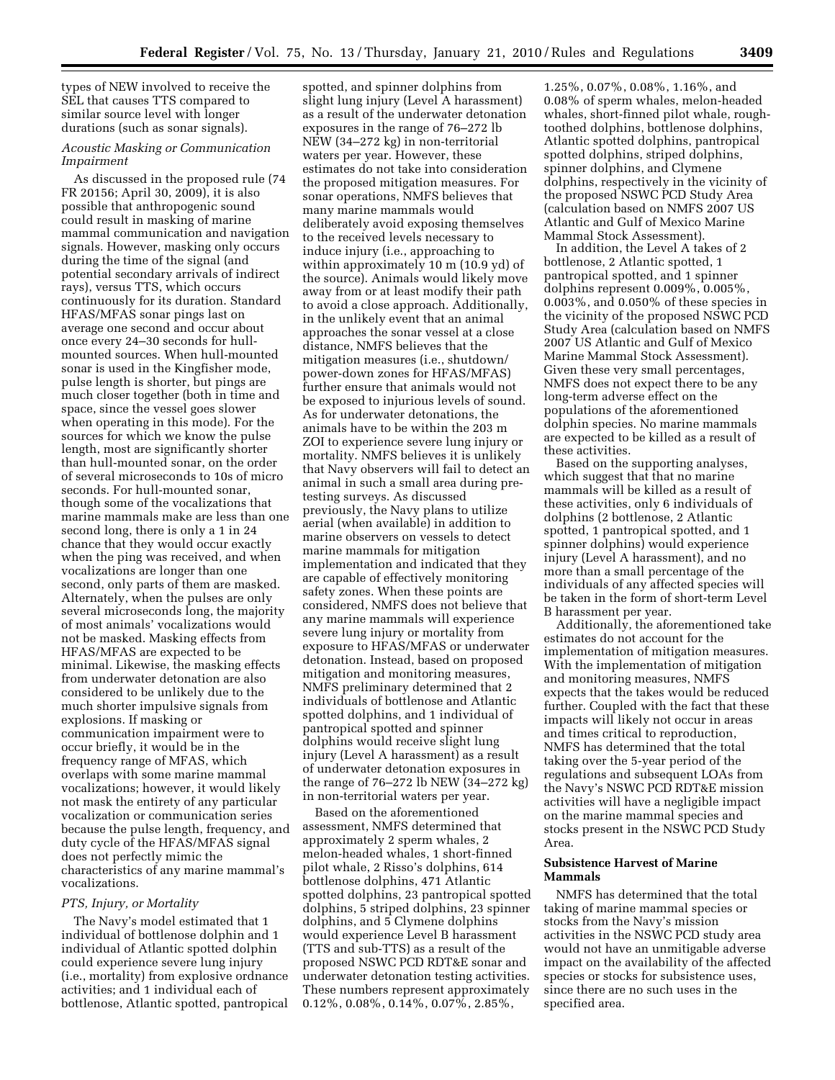types of NEW involved to receive the SEL that causes TTS compared to similar source level with longer durations (such as sonar signals).

# *Acoustic Masking or Communication Impairment*

As discussed in the proposed rule (74 FR 20156; April 30, 2009), it is also possible that anthropogenic sound could result in masking of marine mammal communication and navigation signals. However, masking only occurs during the time of the signal (and potential secondary arrivals of indirect rays), versus TTS, which occurs continuously for its duration. Standard HFAS/MFAS sonar pings last on average one second and occur about once every 24–30 seconds for hullmounted sources. When hull-mounted sonar is used in the Kingfisher mode, pulse length is shorter, but pings are much closer together (both in time and space, since the vessel goes slower when operating in this mode). For the sources for which we know the pulse length, most are significantly shorter than hull-mounted sonar, on the order of several microseconds to 10s of micro seconds. For hull-mounted sonar, though some of the vocalizations that marine mammals make are less than one second long, there is only a 1 in 24 chance that they would occur exactly when the ping was received, and when vocalizations are longer than one second, only parts of them are masked. Alternately, when the pulses are only several microseconds long, the majority of most animals' vocalizations would not be masked. Masking effects from HFAS/MFAS are expected to be minimal. Likewise, the masking effects from underwater detonation are also considered to be unlikely due to the much shorter impulsive signals from explosions. If masking or communication impairment were to occur briefly, it would be in the frequency range of MFAS, which overlaps with some marine mammal vocalizations; however, it would likely not mask the entirety of any particular vocalization or communication series because the pulse length, frequency, and duty cycle of the HFAS/MFAS signal does not perfectly mimic the characteristics of any marine mammal's vocalizations.

#### *PTS, Injury, or Mortality*

The Navy's model estimated that 1 individual of bottlenose dolphin and 1 individual of Atlantic spotted dolphin could experience severe lung injury (i.e., mortality) from explosive ordnance activities; and 1 individual each of bottlenose, Atlantic spotted, pantropical

spotted, and spinner dolphins from slight lung injury (Level A harassment) as a result of the underwater detonation exposures in the range of 76–272 lb NEW (34–272 kg) in non-territorial waters per year. However, these estimates do not take into consideration the proposed mitigation measures. For sonar operations, NMFS believes that many marine mammals would deliberately avoid exposing themselves to the received levels necessary to induce injury (i.e., approaching to within approximately 10 m (10.9 yd) of the source). Animals would likely move away from or at least modify their path to avoid a close approach. Additionally, in the unlikely event that an animal approaches the sonar vessel at a close distance, NMFS believes that the mitigation measures (i.e., shutdown/ power-down zones for HFAS/MFAS) further ensure that animals would not be exposed to injurious levels of sound. As for underwater detonations, the animals have to be within the 203 m ZOI to experience severe lung injury or mortality. NMFS believes it is unlikely that Navy observers will fail to detect an animal in such a small area during pretesting surveys. As discussed previously, the Navy plans to utilize aerial (when available) in addition to marine observers on vessels to detect marine mammals for mitigation implementation and indicated that they are capable of effectively monitoring safety zones. When these points are considered, NMFS does not believe that any marine mammals will experience severe lung injury or mortality from exposure to HFAS/MFAS or underwater detonation. Instead, based on proposed mitigation and monitoring measures, NMFS preliminary determined that 2 individuals of bottlenose and Atlantic spotted dolphins, and 1 individual of pantropical spotted and spinner dolphins would receive slight lung injury (Level A harassment) as a result of underwater detonation exposures in the range of 76–272 lb NEW (34–272 kg) in non-territorial waters per year.

Based on the aforementioned assessment, NMFS determined that approximately 2 sperm whales, 2 melon-headed whales, 1 short-finned pilot whale, 2 Risso's dolphins, 614 bottlenose dolphins, 471 Atlantic spotted dolphins, 23 pantropical spotted dolphins, 5 striped dolphins, 23 spinner dolphins, and 5 Clymene dolphins would experience Level B harassment (TTS and sub-TTS) as a result of the proposed NSWC PCD RDT&E sonar and underwater detonation testing activities. These numbers represent approximately 0.12%, 0.08%, 0.14%, 0.07%, 2.85%,

1.25%, 0.07%, 0.08%, 1.16%, and 0.08% of sperm whales, melon-headed whales, short-finned pilot whale, roughtoothed dolphins, bottlenose dolphins, Atlantic spotted dolphins, pantropical spotted dolphins, striped dolphins, spinner dolphins, and Clymene dolphins, respectively in the vicinity of the proposed NSWC PCD Study Area (calculation based on NMFS 2007 US Atlantic and Gulf of Mexico Marine Mammal Stock Assessment).

In addition, the Level A takes of 2 bottlenose, 2 Atlantic spotted, 1 pantropical spotted, and 1 spinner dolphins represent 0.009%, 0.005%, 0.003%, and 0.050% of these species in the vicinity of the proposed NSWC PCD Study Area (calculation based on NMFS 2007 US Atlantic and Gulf of Mexico Marine Mammal Stock Assessment). Given these very small percentages, NMFS does not expect there to be any long-term adverse effect on the populations of the aforementioned dolphin species. No marine mammals are expected to be killed as a result of these activities.

Based on the supporting analyses, which suggest that that no marine mammals will be killed as a result of these activities, only 6 individuals of dolphins (2 bottlenose, 2 Atlantic spotted, 1 pantropical spotted, and 1 spinner dolphins) would experience injury (Level A harassment), and no more than a small percentage of the individuals of any affected species will be taken in the form of short-term Level B harassment per year.

Additionally, the aforementioned take estimates do not account for the implementation of mitigation measures. With the implementation of mitigation and monitoring measures, NMFS expects that the takes would be reduced further. Coupled with the fact that these impacts will likely not occur in areas and times critical to reproduction, NMFS has determined that the total taking over the 5-year period of the regulations and subsequent LOAs from the Navy's NSWC PCD RDT&E mission activities will have a negligible impact on the marine mammal species and stocks present in the NSWC PCD Study Area.

## **Subsistence Harvest of Marine Mammals**

NMFS has determined that the total taking of marine mammal species or stocks from the Navy's mission activities in the NSWC PCD study area would not have an unmitigable adverse impact on the availability of the affected species or stocks for subsistence uses, since there are no such uses in the specified area.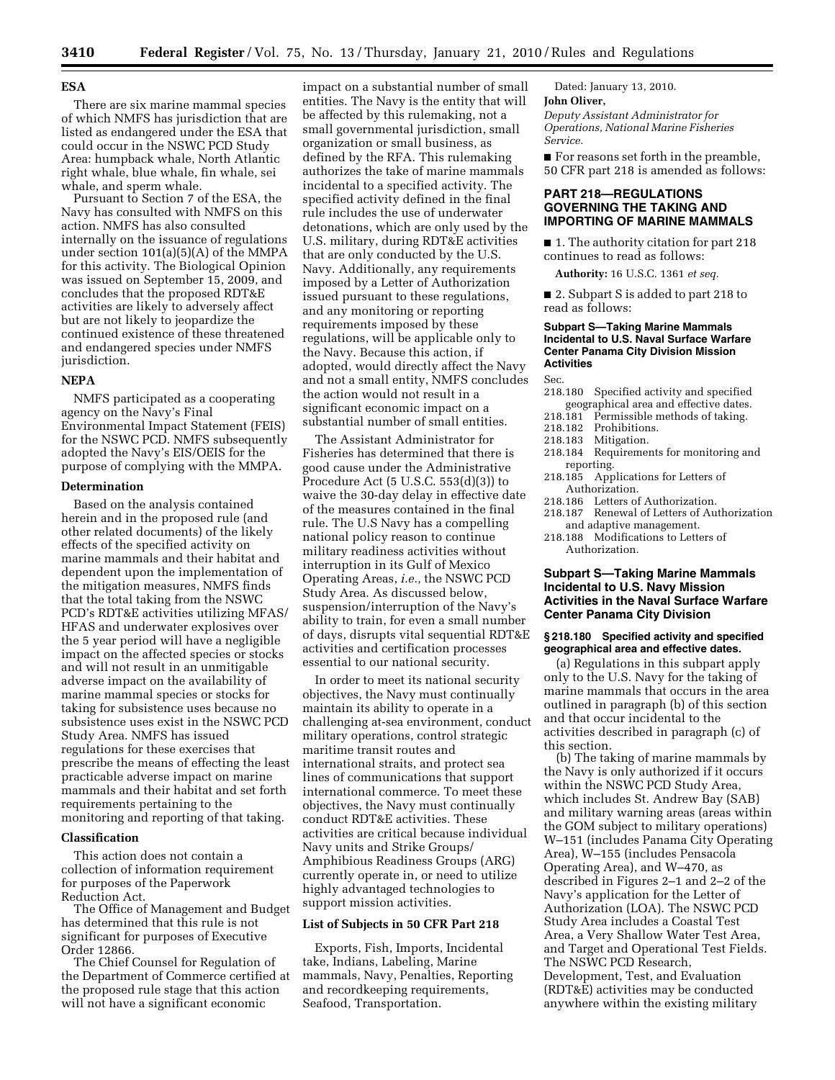### **ESA**

There are six marine mammal species of which NMFS has jurisdiction that are listed as endangered under the ESA that could occur in the NSWC PCD Study Area: humpback whale, North Atlantic right whale, blue whale, fin whale, sei whale, and sperm whale.

Pursuant to Section 7 of the ESA, the Navy has consulted with NMFS on this action. NMFS has also consulted internally on the issuance of regulations under section 101(a)(5)(A) of the MMPA for this activity. The Biological Opinion was issued on September 15, 2009, and concludes that the proposed RDT&E activities are likely to adversely affect but are not likely to jeopardize the continued existence of these threatened and endangered species under NMFS jurisdiction.

# **NEPA**

NMFS participated as a cooperating agency on the Navy's Final Environmental Impact Statement (FEIS) for the NSWC PCD. NMFS subsequently adopted the Navy's EIS/OEIS for the purpose of complying with the MMPA.

#### **Determination**

Based on the analysis contained herein and in the proposed rule (and other related documents) of the likely effects of the specified activity on marine mammals and their habitat and dependent upon the implementation of the mitigation measures, NMFS finds that the total taking from the NSWC PCD's RDT&E activities utilizing MFAS/ HFAS and underwater explosives over the 5 year period will have a negligible impact on the affected species or stocks and will not result in an unmitigable adverse impact on the availability of marine mammal species or stocks for taking for subsistence uses because no subsistence uses exist in the NSWC PCD Study Area. NMFS has issued regulations for these exercises that prescribe the means of effecting the least practicable adverse impact on marine mammals and their habitat and set forth requirements pertaining to the monitoring and reporting of that taking.

# **Classification**

This action does not contain a collection of information requirement for purposes of the Paperwork Reduction Act.

The Office of Management and Budget has determined that this rule is not significant for purposes of Executive Order 12866.

The Chief Counsel for Regulation of the Department of Commerce certified at the proposed rule stage that this action will not have a significant economic

impact on a substantial number of small entities. The Navy is the entity that will be affected by this rulemaking, not a small governmental jurisdiction, small organization or small business, as defined by the RFA. This rulemaking authorizes the take of marine mammals incidental to a specified activity. The specified activity defined in the final rule includes the use of underwater detonations, which are only used by the U.S. military, during RDT&E activities that are only conducted by the U.S. Navy. Additionally, any requirements imposed by a Letter of Authorization issued pursuant to these regulations, and any monitoring or reporting requirements imposed by these regulations, will be applicable only to the Navy. Because this action, if adopted, would directly affect the Navy and not a small entity, NMFS concludes the action would not result in a significant economic impact on a substantial number of small entities.

The Assistant Administrator for Fisheries has determined that there is good cause under the Administrative Procedure Act (5 U.S.C. 553(d)(3)) to waive the 30-day delay in effective date of the measures contained in the final rule. The U.S Navy has a compelling national policy reason to continue military readiness activities without interruption in its Gulf of Mexico Operating Areas, *i.e.,* the NSWC PCD Study Area. As discussed below, suspension/interruption of the Navy's ability to train, for even a small number of days, disrupts vital sequential RDT&E activities and certification processes essential to our national security.

In order to meet its national security objectives, the Navy must continually maintain its ability to operate in a challenging at-sea environment, conduct military operations, control strategic maritime transit routes and international straits, and protect sea lines of communications that support international commerce. To meet these objectives, the Navy must continually conduct RDT&E activities. These activities are critical because individual Navy units and Strike Groups/ Amphibious Readiness Groups (ARG) currently operate in, or need to utilize highly advantaged technologies to support mission activities.

#### **List of Subjects in 50 CFR Part 218**

Exports, Fish, Imports, Incidental take, Indians, Labeling, Marine mammals, Navy, Penalties, Reporting and recordkeeping requirements, Seafood, Transportation.

Dated: January 13, 2010. **John Oliver,** 

*Deputy Assistant Administrator for Operations, National Marine Fisheries Service.* 

■ For reasons set forth in the preamble, 50 CFR part 218 is amended as follows:

# **PART 218—REGULATIONS GOVERNING THE TAKING AND IMPORTING OF MARINE MAMMALS**

■ 1. The authority citation for part 218 continues to read as follows:

**Authority:** 16 U.S.C. 1361 *et seq.* 

■ 2. Subpart S is added to part 218 to read as follows:

### **Subpart S—Taking Marine Mammals Incidental to U.S. Naval Surface Warfare Center Panama City Division Mission Activities**

Sec.

- 218.180 Specified activity and specified geographical area and effective dates.
- 218.181 Permissible methods of taking.<br>218.182 Prohibitions.
- 218.182 Prohibitions.<br>218.183 Mitigation
- Mitigation.
- 218.184 Requirements for monitoring and reporting.
- 218.185 Applications for Letters of Authorization.
- 218.186 Letters of Authorization.
- 218.187 Renewal of Letters of Authorization and adaptive management.
- 218.188 Modifications to Letters of Authorization.

# **Subpart S—Taking Marine Mammals Incidental to U.S. Navy Mission Activities in the Naval Surface Warfare Center Panama City Division**

### **§ 218.180 Specified activity and specified geographical area and effective dates.**

(a) Regulations in this subpart apply only to the U.S. Navy for the taking of marine mammals that occurs in the area outlined in paragraph (b) of this section and that occur incidental to the activities described in paragraph (c) of this section.

(b) The taking of marine mammals by the Navy is only authorized if it occurs within the NSWC PCD Study Area, which includes St. Andrew Bay (SAB) and military warning areas (areas within the GOM subject to military operations) W–151 (includes Panama City Operating Area), W–155 (includes Pensacola Operating Area), and W–470, as described in Figures 2–1 and 2–2 of the Navy's application for the Letter of Authorization (LOA). The NSWC PCD Study Area includes a Coastal Test Area, a Very Shallow Water Test Area, and Target and Operational Test Fields. The NSWC PCD Research, Development, Test, and Evaluation (RDT&E) activities may be conducted anywhere within the existing military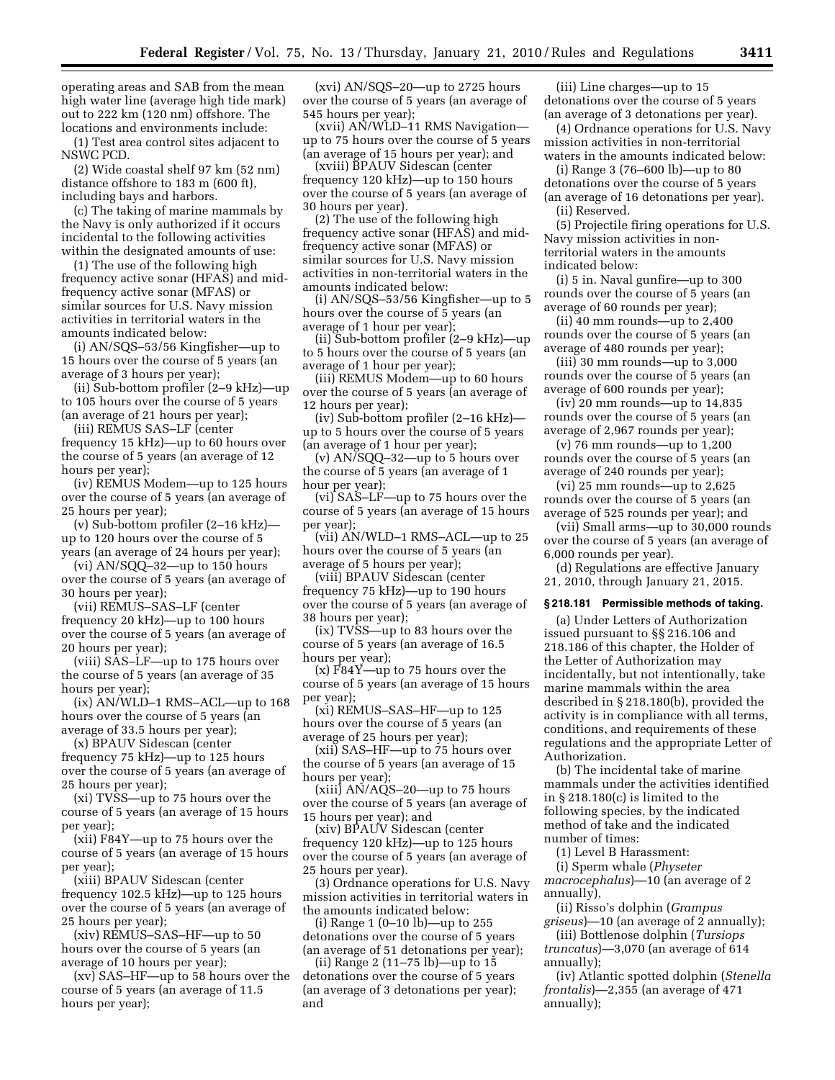operating areas and SAB from the mean high water line (average high tide mark) out to 222 km (120 nm) offshore. The locations and environments include:

(1) Test area control sites adjacent to NSWC PCD.

(2) Wide coastal shelf 97 km (52 nm) distance offshore to 183 m (600 ft), including bays and harbors.

(c) The taking of marine mammals by the Navy is only authorized if it occurs incidental to the following activities within the designated amounts of use:

(1) The use of the following high frequency active sonar (HFAS) and midfrequency active sonar (MFAS) or similar sources for U.S. Navy mission activities in territorial waters in the amounts indicated below:

(i) AN/SQS–53/56 Kingfisher—up to 15 hours over the course of 5 years (an average of 3 hours per year);

(ii) Sub-bottom profiler (2–9 kHz)—up to 105 hours over the course of 5 years (an average of 21 hours per year);

(iii) REMUS SAS–LF (center frequency 15 kHz)—up to 60 hours over the course of 5 years (an average of 12 hours per year);

(iv) REMUS Modem—up to 125 hours over the course of 5 years (an average of 25 hours per year);

(v) Sub-bottom profiler (2–16 kHz) up to 120 hours over the course of 5 years (an average of 24 hours per year);

(vi) AN/SQQ–32—up to 150 hours over the course of 5 years (an average of 30 hours per year);

(vii) REMUS–SAS–LF (center frequency 20 kHz)—up to 100 hours over the course of 5 years (an average of 20 hours per year);

(viii) SAS–LF—up to 175 hours over the course of 5 years (an average of 35 hours per year);

(ix) AN/WLD–1 RMS–ACL—up to 168 hours over the course of 5 years (an average of 33.5 hours per year);

(x) BPAUV Sidescan (center

frequency 75 kHz)—up to 125 hours over the course of 5 years (an average of 25 hours per year);

(xi) TVSS—up to 75 hours over the course of 5 years (an average of 15 hours per year);

(xii) F84Y—up to 75 hours over the course of 5 years (an average of 15 hours per year);

(xiii) BPAUV Sidescan (center frequency 102.5 kHz)—up to 125 hours over the course of 5 years (an average of 25 hours per year);

(xiv) REMUS–SAS–HF—up to 50 hours over the course of 5 years (an average of 10 hours per year);

(xv) SAS–HF—up to 58 hours over the course of 5 years (an average of 11.5 hours per year);

(xvi) AN/SQS–20—up to 2725 hours over the course of 5 years (an average of 545 hours per year);

(xvii) AN/WLD–11 RMS Navigation up to 75 hours over the course of 5 years (an average of 15 hours per year); and

(xviii) BPAUV Sidescan (center frequency 120 kHz)—up to 150 hours over the course of 5 years (an average of 30 hours per year).

(2) The use of the following high frequency active sonar (HFAS) and midfrequency active sonar (MFAS) or similar sources for U.S. Navy mission activities in non-territorial waters in the amounts indicated below:

(i) AN/SQS–53/56 Kingfisher—up to 5 hours over the course of 5 years (an average of 1 hour per year);

(ii) Sub-bottom profiler (2–9 kHz)—up to 5 hours over the course of 5 years (an average of 1 hour per year);

(iii) REMUS Modem—up to 60 hours over the course of 5 years (an average of 12 hours per year);

(iv) Sub-bottom profiler (2–16 kHz) up to 5 hours over the course of 5 years (an average of 1 hour per year);

(v) AN/SQQ–32—up to 5 hours over the course of 5 years (an average of 1 hour per year);

(vi) SAS–LF—up to 75 hours over the course of 5 years (an average of 15 hours per year);

(vii) AN/WLD–1 RMS–ACL—up to 25 hours over the course of 5 years (an average of 5 hours per year);

(viii) BPAUV Sidescan (center frequency 75 kHz)—up to 190 hours over the course of 5 years (an average of 38 hours per year);

(ix) TVSS—up to 83 hours over the course of 5 years (an average of 16.5 hours per year);

(x) F84Y—up to 75 hours over the course of 5 years (an average of 15 hours per year);

(xi) REMUS–SAS–HF—up to 125 hours over the course of 5 years (an average of 25 hours per year);

(xii) SAS–HF—up to 75 hours over the course of 5 years (an average of 15 hours per year);

 $(xiii)$  AN/AQS-20—up to 75 hours over the course of 5 years (an average of 15 hours per year); and

(xiv) BPAUV Sidescan (center frequency 120 kHz)—up to 125 hours over the course of 5 years (an average of 25 hours per year).

(3) Ordnance operations for U.S. Navy mission activities in territorial waters in the amounts indicated below:

(i) Range 1 (0–10 lb)—up to 255 detonations over the course of 5 years (an average of 51 detonations per year);

(ii) Range 2 (11–75 lb)—up to 15 detonations over the course of 5 years (an average of 3 detonations per year); and

(iii) Line charges—up to 15 detonations over the course of 5 years (an average of 3 detonations per year).

(4) Ordnance operations for U.S. Navy mission activities in non-territorial waters in the amounts indicated below.

(i) Range 3 (76–600 lb)—up to 80 detonations over the course of 5 years (an average of 16 detonations per year). (ii) Reserved.

(5) Projectile firing operations for U.S. Navy mission activities in nonterritorial waters in the amounts indicated below:

(i) 5 in. Naval gunfire—up to 300 rounds over the course of 5 years (an average of 60 rounds per year);

(ii) 40 mm rounds—up to 2,400 rounds over the course of 5 years (an average of 480 rounds per year);

(iii) 30 mm rounds—up to 3,000 rounds over the course of 5 years (an average of 600 rounds per year);

(iv) 20 mm rounds—up to 14,835 rounds over the course of 5 years (an average of 2,967 rounds per year);

(v) 76 mm rounds—up to 1,200 rounds over the course of 5 years (an average of 240 rounds per year);

(vi) 25 mm rounds—up to 2,625 rounds over the course of 5 years (an average of 525 rounds per year); and

(vii) Small arms—up to 30,000 rounds over the course of 5 years (an average of 6,000 rounds per year).

(d) Regulations are effective January 21, 2010, through January 21, 2015.

#### **§ 218.181 Permissible methods of taking.**

(a) Under Letters of Authorization issued pursuant to §§ 216.106 and 218.186 of this chapter, the Holder of the Letter of Authorization may incidentally, but not intentionally, take marine mammals within the area described in § 218.180(b), provided the activity is in compliance with all terms, conditions, and requirements of these regulations and the appropriate Letter of Authorization.

(b) The incidental take of marine mammals under the activities identified in § 218.180(c) is limited to the following species, by the indicated method of take and the indicated number of times:

(1) Level B Harassment:

(i) Sperm whale (*Physeter macrocephalus*)—10 (an average of 2 annually),

(ii) Risso's dolphin (*Grampus griseus*)—10 (an average of 2 annually);

(iii) Bottlenose dolphin (*Tursiops truncatus*)—3,070 (an average of 614 annually);

(iv) Atlantic spotted dolphin (*Stenella frontalis*)—2,355 (an average of 471 annually);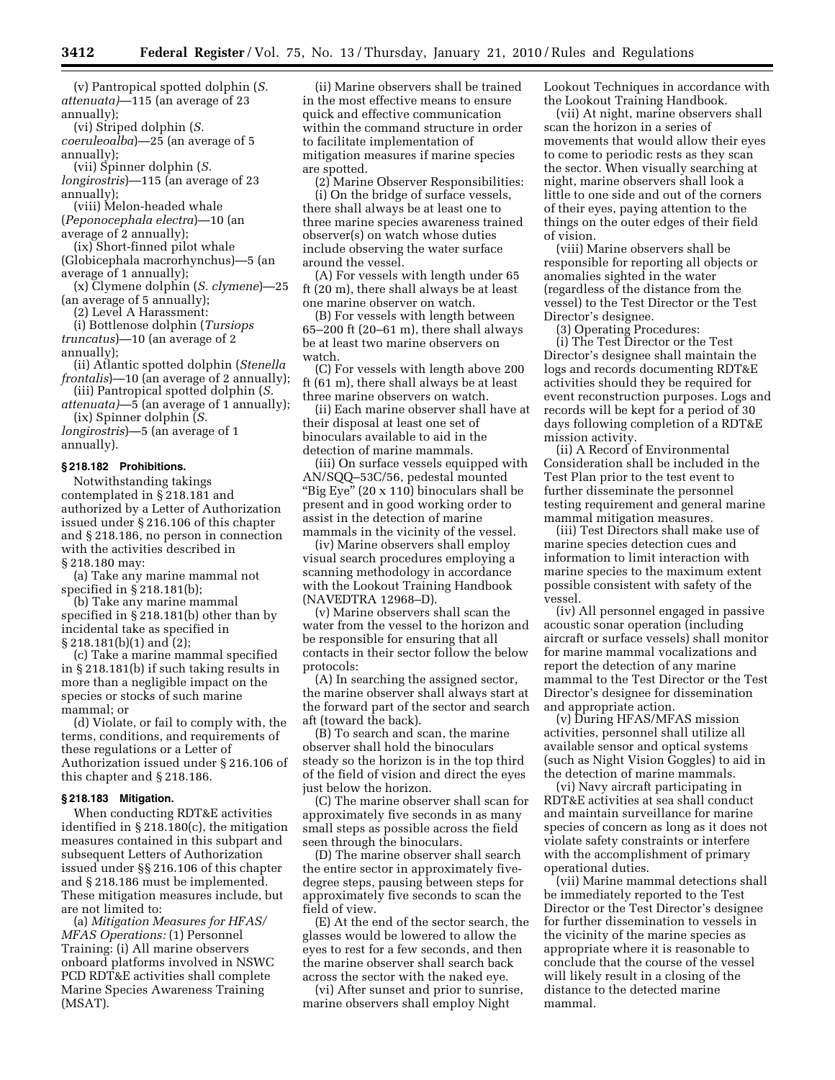(v) Pantropical spotted dolphin (*S. attenuata)*—115 (an average of 23 annually);

(vi) Striped dolphin (*S.* 

*coeruleoalba*)—25 (an average of 5 annually);

(vii) Spinner dolphin (*S. longirostris*)—115 (an average of 23

annually); (viii) Melon-headed whale

(*Peponocephala electra*)—10 (an average of 2 annually);

(ix) Short-finned pilot whale (Globicephala macrorhynchus)—5 (an average of 1 annually);

(x) Clymene dolphin (*S. clymene*)—25 (an average of 5 annually);

(2) Level A Harassment:

(i) Bottlenose dolphin (*Tursiops truncatus*)—10 (an average of 2 annually);

(ii) Atlantic spotted dolphin (*Stenella frontalis*)—10 (an average of 2 annually);

(iii) Pantropical spotted dolphin (*S. attenuata)*—5 (an average of 1 annually);

(ix) Spinner dolphin (*S. longirostris*)—5 (an average of 1

annually).

#### **§ 218.182 Prohibitions.**

Notwithstanding takings contemplated in § 218.181 and authorized by a Letter of Authorization issued under § 216.106 of this chapter and § 218.186, no person in connection with the activities described in § 218.180 may:

(a) Take any marine mammal not specified in § 218.181(b);

(b) Take any marine mammal specified in § 218.181(b) other than by incidental take as specified in § 218.181(b)(1) and (2);

(c) Take a marine mammal specified in § 218.181(b) if such taking results in more than a negligible impact on the species or stocks of such marine mammal; or

(d) Violate, or fail to comply with, the terms, conditions, and requirements of these regulations or a Letter of Authorization issued under § 216.106 of this chapter and § 218.186.

## **§ 218.183 Mitigation.**

When conducting RDT&E activities identified in § 218.180(c), the mitigation measures contained in this subpart and subsequent Letters of Authorization issued under §§ 216.106 of this chapter and § 218.186 must be implemented. These mitigation measures include, but are not limited to:

(a) *Mitigation Measures for HFAS/ MFAS Operations:* (1) Personnel Training: (i) All marine observers onboard platforms involved in NSWC PCD RDT&E activities shall complete Marine Species Awareness Training (MSAT).

(ii) Marine observers shall be trained in the most effective means to ensure quick and effective communication within the command structure in order to facilitate implementation of mitigation measures if marine species are spotted.

(2) Marine Observer Responsibilities: (i) On the bridge of surface vessels, there shall always be at least one to three marine species awareness trained observer(s) on watch whose duties include observing the water surface around the vessel.

(A) For vessels with length under 65 ft (20 m), there shall always be at least one marine observer on watch.

(B) For vessels with length between 65–200 ft (20–61 m), there shall always be at least two marine observers on watch.

(C) For vessels with length above 200 ft (61 m), there shall always be at least three marine observers on watch.

(ii) Each marine observer shall have at their disposal at least one set of binoculars available to aid in the detection of marine mammals.

(iii) On surface vessels equipped with AN/SQQ–53C/56, pedestal mounted "Big Eye" (20 x 110) binoculars shall be present and in good working order to assist in the detection of marine mammals in the vicinity of the vessel.

(iv) Marine observers shall employ visual search procedures employing a scanning methodology in accordance with the Lookout Training Handbook (NAVEDTRA 12968–D).

(v) Marine observers shall scan the water from the vessel to the horizon and be responsible for ensuring that all contacts in their sector follow the below protocols:

(A) In searching the assigned sector, the marine observer shall always start at the forward part of the sector and search aft (toward the back).

(B) To search and scan, the marine observer shall hold the binoculars steady so the horizon is in the top third of the field of vision and direct the eyes just below the horizon.

(C) The marine observer shall scan for approximately five seconds in as many small steps as possible across the field seen through the binoculars.

(D) The marine observer shall search the entire sector in approximately fivedegree steps, pausing between steps for approximately five seconds to scan the field of view.

(E) At the end of the sector search, the glasses would be lowered to allow the eyes to rest for a few seconds, and then the marine observer shall search back across the sector with the naked eye.

(vi) After sunset and prior to sunrise, marine observers shall employ Night

Lookout Techniques in accordance with the Lookout Training Handbook.

(vii) At night, marine observers shall scan the horizon in a series of movements that would allow their eyes to come to periodic rests as they scan the sector. When visually searching at night, marine observers shall look a little to one side and out of the corners of their eyes, paying attention to the things on the outer edges of their field of vision.

(viii) Marine observers shall be responsible for reporting all objects or anomalies sighted in the water (regardless of the distance from the vessel) to the Test Director or the Test Director's designee.

(3) Operating Procedures:

(i) The Test Director or the Test Director's designee shall maintain the logs and records documenting RDT&E activities should they be required for event reconstruction purposes. Logs and records will be kept for a period of 30 days following completion of a RDT&E mission activity.

(ii) A Record of Environmental Consideration shall be included in the Test Plan prior to the test event to further disseminate the personnel testing requirement and general marine mammal mitigation measures.

(iii) Test Directors shall make use of marine species detection cues and information to limit interaction with marine species to the maximum extent possible consistent with safety of the vessel.

(iv) All personnel engaged in passive acoustic sonar operation (including aircraft or surface vessels) shall monitor for marine mammal vocalizations and report the detection of any marine mammal to the Test Director or the Test Director's designee for dissemination and appropriate action.

(v) During HFAS/MFAS mission activities, personnel shall utilize all available sensor and optical systems (such as Night Vision Goggles) to aid in the detection of marine mammals.

(vi) Navy aircraft participating in RDT&E activities at sea shall conduct and maintain surveillance for marine species of concern as long as it does not violate safety constraints or interfere with the accomplishment of primary operational duties.

(vii) Marine mammal detections shall be immediately reported to the Test Director or the Test Director's designee for further dissemination to vessels in the vicinity of the marine species as appropriate where it is reasonable to conclude that the course of the vessel will likely result in a closing of the distance to the detected marine mammal.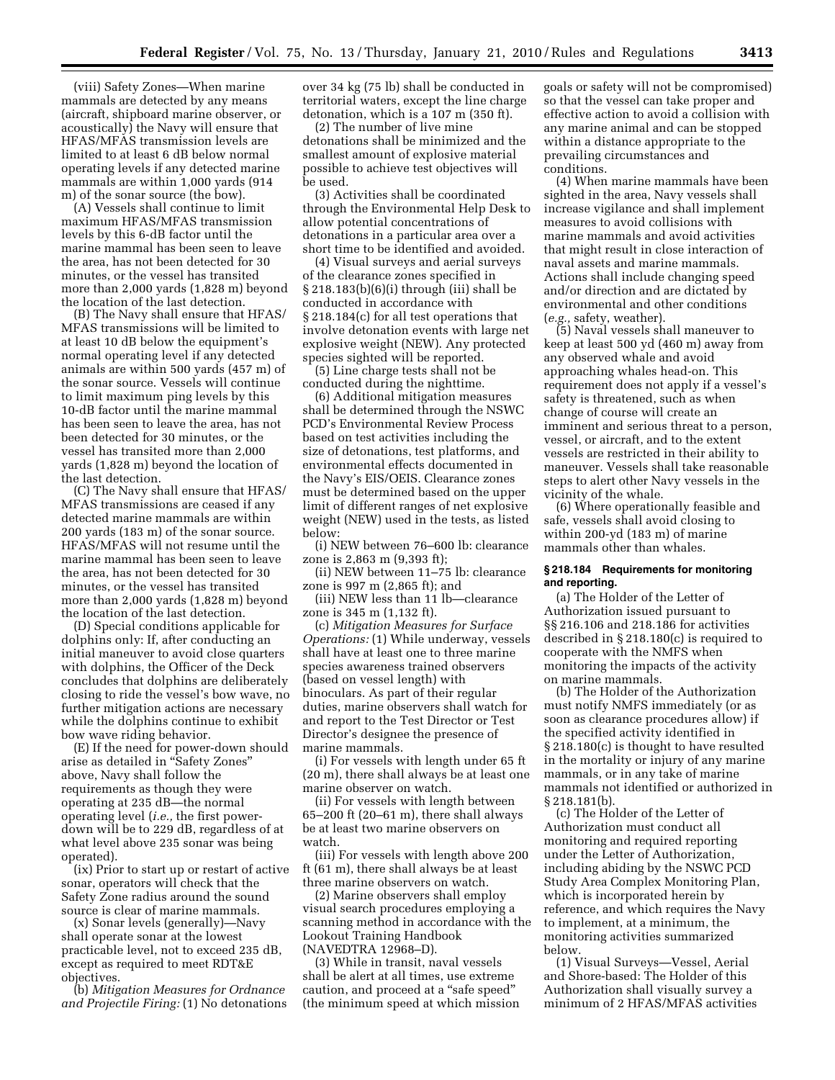(viii) Safety Zones—When marine mammals are detected by any means (aircraft, shipboard marine observer, or acoustically) the Navy will ensure that HFAS/MFAS transmission levels are limited to at least 6 dB below normal operating levels if any detected marine mammals are within 1,000 yards (914 m) of the sonar source (the bow).

(A) Vessels shall continue to limit maximum HFAS/MFAS transmission levels by this 6-dB factor until the marine mammal has been seen to leave the area, has not been detected for 30 minutes, or the vessel has transited more than 2,000 yards (1,828 m) beyond the location of the last detection.

(B) The Navy shall ensure that HFAS/ MFAS transmissions will be limited to at least 10 dB below the equipment's normal operating level if any detected animals are within 500 yards (457 m) of the sonar source. Vessels will continue to limit maximum ping levels by this 10-dB factor until the marine mammal has been seen to leave the area, has not been detected for 30 minutes, or the vessel has transited more than 2,000 yards (1,828 m) beyond the location of the last detection.

(C) The Navy shall ensure that HFAS/ MFAS transmissions are ceased if any detected marine mammals are within 200 yards (183 m) of the sonar source. HFAS/MFAS will not resume until the marine mammal has been seen to leave the area, has not been detected for 30 minutes, or the vessel has transited more than 2,000 yards (1,828 m) beyond the location of the last detection.

(D) Special conditions applicable for dolphins only: If, after conducting an initial maneuver to avoid close quarters with dolphins, the Officer of the Deck concludes that dolphins are deliberately closing to ride the vessel's bow wave, no further mitigation actions are necessary while the dolphins continue to exhibit bow wave riding behavior.

(E) If the need for power-down should arise as detailed in ''Safety Zones'' above, Navy shall follow the requirements as though they were operating at 235 dB—the normal operating level (*i.e.,* the first powerdown will be to 229 dB, regardless of at what level above 235 sonar was being operated).

(ix) Prior to start up or restart of active sonar, operators will check that the Safety Zone radius around the sound source is clear of marine mammals.

(x) Sonar levels (generally)—Navy shall operate sonar at the lowest practicable level, not to exceed 235 dB, except as required to meet RDT&E objectives.

(b) *Mitigation Measures for Ordnance and Projectile Firing:* (1) No detonations over 34 kg (75 lb) shall be conducted in territorial waters, except the line charge detonation, which is a 107 m (350 ft).

(2) The number of live mine detonations shall be minimized and the smallest amount of explosive material possible to achieve test objectives will be used.

(3) Activities shall be coordinated through the Environmental Help Desk to allow potential concentrations of detonations in a particular area over a short time to be identified and avoided.

(4) Visual surveys and aerial surveys of the clearance zones specified in § 218.183(b)(6)(i) through (iii) shall be conducted in accordance with § 218.184(c) for all test operations that involve detonation events with large net explosive weight (NEW). Any protected species sighted will be reported.

(5) Line charge tests shall not be conducted during the nighttime.

(6) Additional mitigation measures shall be determined through the NSWC PCD's Environmental Review Process based on test activities including the size of detonations, test platforms, and environmental effects documented in the Navy's EIS/OEIS. Clearance zones must be determined based on the upper limit of different ranges of net explosive weight (NEW) used in the tests, as listed below:

(i) NEW between 76–600 lb: clearance zone is 2,863 m (9,393 ft);

(ii) NEW between 11–75 lb: clearance zone is 997 m (2,865 ft); and

(iii) NEW less than 11 lb—clearance zone is 345 m (1,132 ft).

(c) *Mitigation Measures for Surface Operations:* (1) While underway, vessels shall have at least one to three marine species awareness trained observers (based on vessel length) with binoculars. As part of their regular duties, marine observers shall watch for and report to the Test Director or Test Director's designee the presence of marine mammals.

(i) For vessels with length under 65 ft (20 m), there shall always be at least one marine observer on watch.

(ii) For vessels with length between 65–200 ft (20–61 m), there shall always be at least two marine observers on watch.

(iii) For vessels with length above 200 ft (61 m), there shall always be at least three marine observers on watch.

(2) Marine observers shall employ visual search procedures employing a scanning method in accordance with the Lookout Training Handbook (NAVEDTRA 12968–D).

(3) While in transit, naval vessels shall be alert at all times, use extreme caution, and proceed at a ''safe speed'' (the minimum speed at which mission goals or safety will not be compromised) so that the vessel can take proper and effective action to avoid a collision with any marine animal and can be stopped within a distance appropriate to the prevailing circumstances and conditions.

(4) When marine mammals have been sighted in the area, Navy vessels shall increase vigilance and shall implement measures to avoid collisions with marine mammals and avoid activities that might result in close interaction of naval assets and marine mammals. Actions shall include changing speed and/or direction and are dictated by environmental and other conditions (*e.g.,* safety, weather).

(5) Naval vessels shall maneuver to keep at least 500 yd (460 m) away from any observed whale and avoid approaching whales head-on. This requirement does not apply if a vessel's safety is threatened, such as when change of course will create an imminent and serious threat to a person, vessel, or aircraft, and to the extent vessels are restricted in their ability to maneuver. Vessels shall take reasonable steps to alert other Navy vessels in the vicinity of the whale.

(6) Where operationally feasible and safe, vessels shall avoid closing to within 200-yd (183 m) of marine mammals other than whales.

# **§ 218.184 Requirements for monitoring and reporting.**

(a) The Holder of the Letter of Authorization issued pursuant to §§ 216.106 and 218.186 for activities described in § 218.180(c) is required to cooperate with the NMFS when monitoring the impacts of the activity on marine mammals.

(b) The Holder of the Authorization must notify NMFS immediately (or as soon as clearance procedures allow) if the specified activity identified in § 218.180(c) is thought to have resulted in the mortality or injury of any marine mammals, or in any take of marine mammals not identified or authorized in § 218.181(b).

(c) The Holder of the Letter of Authorization must conduct all monitoring and required reporting under the Letter of Authorization, including abiding by the NSWC PCD Study Area Complex Monitoring Plan, which is incorporated herein by reference, and which requires the Navy to implement, at a minimum, the monitoring activities summarized below.

(1) Visual Surveys—Vessel, Aerial and Shore-based: The Holder of this Authorization shall visually survey a minimum of 2 HFAS/MFAS activities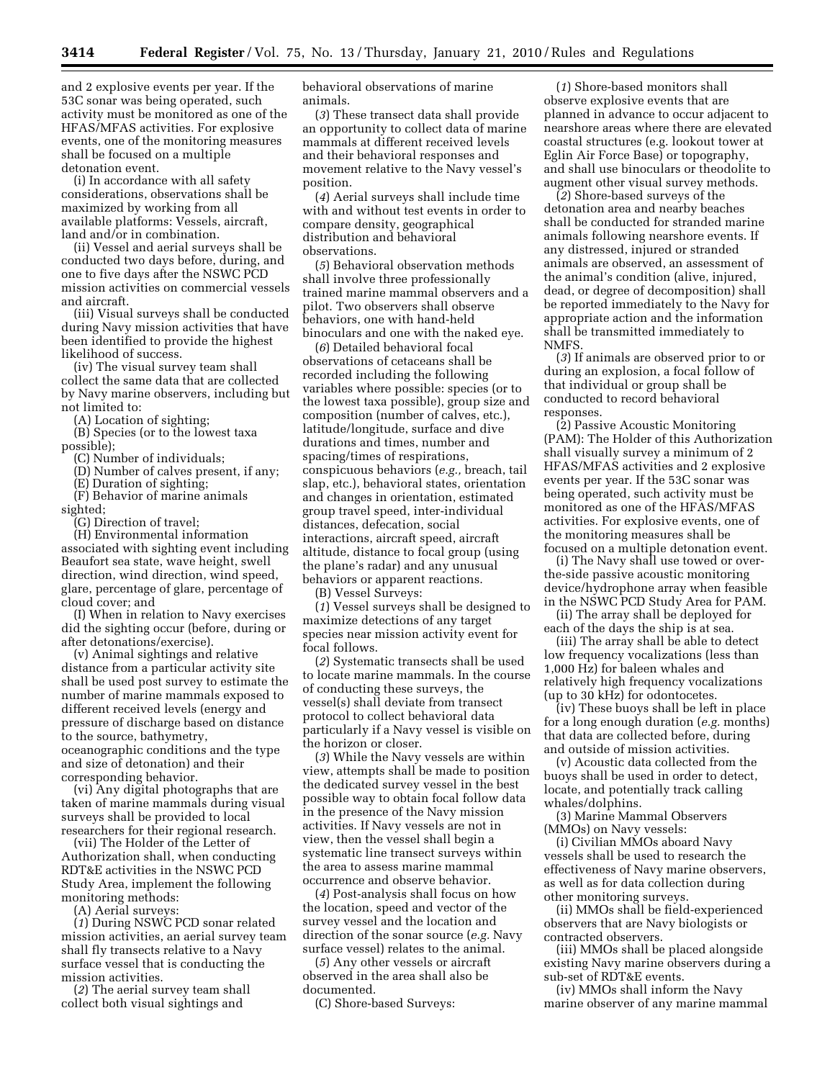and 2 explosive events per year. If the 53C sonar was being operated, such activity must be monitored as one of the HFAS/MFAS activities. For explosive events, one of the monitoring measures shall be focused on a multiple detonation event.

(i) In accordance with all safety considerations, observations shall be maximized by working from all available platforms: Vessels, aircraft, land and/or in combination.

(ii) Vessel and aerial surveys shall be conducted two days before, during, and one to five days after the NSWC PCD mission activities on commercial vessels and aircraft.

(iii) Visual surveys shall be conducted during Navy mission activities that have been identified to provide the highest likelihood of success.

(iv) The visual survey team shall collect the same data that are collected by Navy marine observers, including but not limited to:

(A) Location of sighting;

(B) Species (or to the lowest taxa possible);

(C) Number of individuals;

(D) Number of calves present, if any;

(E) Duration of sighting; (F) Behavior of marine animals sighted;

(G) Direction of travel;

(H) Environmental information associated with sighting event including Beaufort sea state, wave height, swell direction, wind direction, wind speed, glare, percentage of glare, percentage of cloud cover; and

(I) When in relation to Navy exercises did the sighting occur (before, during or after detonations/exercise).

(v) Animal sightings and relative distance from a particular activity site shall be used post survey to estimate the number of marine mammals exposed to different received levels (energy and pressure of discharge based on distance to the source, bathymetry, oceanographic conditions and the type and size of detonation) and their corresponding behavior.

(vi) Any digital photographs that are taken of marine mammals during visual surveys shall be provided to local researchers for their regional research.

(vii) The Holder of the Letter of Authorization shall, when conducting RDT&E activities in the NSWC PCD Study Area, implement the following monitoring methods:

(A) Aerial surveys:

(*1*) During NSWC PCD sonar related mission activities, an aerial survey team shall fly transects relative to a Navy surface vessel that is conducting the mission activities.

(*2*) The aerial survey team shall collect both visual sightings and

behavioral observations of marine animals.

(*3*) These transect data shall provide an opportunity to collect data of marine mammals at different received levels and their behavioral responses and movement relative to the Navy vessel's position.

(*4*) Aerial surveys shall include time with and without test events in order to compare density, geographical distribution and behavioral observations.

(*5*) Behavioral observation methods shall involve three professionally trained marine mammal observers and a pilot. Two observers shall observe behaviors, one with hand-held binoculars and one with the naked eye.

(*6*) Detailed behavioral focal observations of cetaceans shall be recorded including the following variables where possible: species (or to the lowest taxa possible), group size and composition (number of calves, etc.), latitude/longitude, surface and dive durations and times, number and spacing/times of respirations, conspicuous behaviors (*e.g.,* breach, tail slap, etc.), behavioral states, orientation and changes in orientation, estimated group travel speed, inter-individual distances, defecation, social interactions, aircraft speed, aircraft altitude, distance to focal group (using the plane's radar) and any unusual behaviors or apparent reactions.

(B) Vessel Surveys:

(*1*) Vessel surveys shall be designed to maximize detections of any target species near mission activity event for focal follows.

(*2*) Systematic transects shall be used to locate marine mammals. In the course of conducting these surveys, the vessel(s) shall deviate from transect protocol to collect behavioral data particularly if a Navy vessel is visible on the horizon or closer.

(*3*) While the Navy vessels are within view, attempts shall be made to position the dedicated survey vessel in the best possible way to obtain focal follow data in the presence of the Navy mission activities. If Navy vessels are not in view, then the vessel shall begin a systematic line transect surveys within the area to assess marine mammal occurrence and observe behavior.

(*4*) Post-analysis shall focus on how the location, speed and vector of the survey vessel and the location and direction of the sonar source (*e.g.* Navy surface vessel) relates to the animal.

(*5*) Any other vessels or aircraft observed in the area shall also be documented.

(C) Shore-based Surveys:

(*1*) Shore-based monitors shall observe explosive events that are planned in advance to occur adjacent to nearshore areas where there are elevated coastal structures (e.g. lookout tower at Eglin Air Force Base) or topography, and shall use binoculars or theodolite to augment other visual survey methods.

(*2*) Shore-based surveys of the detonation area and nearby beaches shall be conducted for stranded marine animals following nearshore events. If any distressed, injured or stranded animals are observed, an assessment of the animal's condition (alive, injured, dead, or degree of decomposition) shall be reported immediately to the Navy for appropriate action and the information shall be transmitted immediately to NMFS.

(*3*) If animals are observed prior to or during an explosion, a focal follow of that individual or group shall be conducted to record behavioral responses.

(2) Passive Acoustic Monitoring (PAM): The Holder of this Authorization shall visually survey a minimum of 2 HFAS/MFAS activities and 2 explosive events per year. If the 53C sonar was being operated, such activity must be monitored as one of the HFAS/MFAS activities. For explosive events, one of the monitoring measures shall be focused on a multiple detonation event.

(i) The Navy shall use towed or overthe-side passive acoustic monitoring device/hydrophone array when feasible in the NSWC PCD Study Area for PAM.

(ii) The array shall be deployed for each of the days the ship is at sea.

(iii) The array shall be able to detect low frequency vocalizations (less than 1,000 Hz) for baleen whales and relatively high frequency vocalizations (up to 30 kHz) for odontocetes.

(iv) These buoys shall be left in place for a long enough duration (*e.g.* months) that data are collected before, during and outside of mission activities.

(v) Acoustic data collected from the buoys shall be used in order to detect, locate, and potentially track calling whales/dolphins.

(3) Marine Mammal Observers (MMOs) on Navy vessels:

(i) Civilian MMOs aboard Navy vessels shall be used to research the effectiveness of Navy marine observers, as well as for data collection during other monitoring surveys.

(ii) MMOs shall be field-experienced observers that are Navy biologists or contracted observers.

(iii) MMOs shall be placed alongside existing Navy marine observers during a sub-set of RDT&E events.

(iv) MMOs shall inform the Navy marine observer of any marine mammal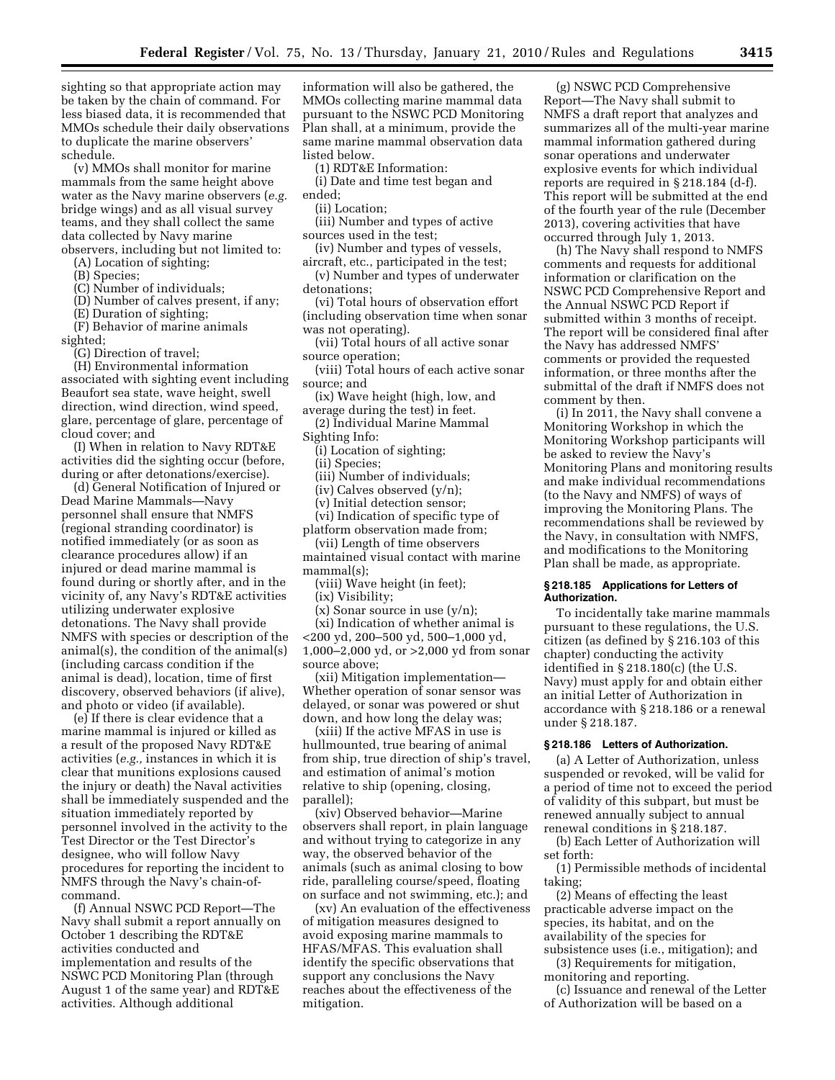sighting so that appropriate action may be taken by the chain of command. For less biased data, it is recommended that MMOs schedule their daily observations to duplicate the marine observers' schedule.

(v) MMOs shall monitor for marine mammals from the same height above water as the Navy marine observers (*e.g.*  bridge wings) and as all visual survey teams, and they shall collect the same data collected by Navy marine observers, including but not limited to:

(A) Location of sighting;

(B) Species;

(C) Number of individuals;

(D) Number of calves present, if any;

(E) Duration of sighting;

(F) Behavior of marine animals sighted;

(G) Direction of travel;

(H) Environmental information associated with sighting event including Beaufort sea state, wave height, swell direction, wind direction, wind speed, glare, percentage of glare, percentage of cloud cover; and

(I) When in relation to Navy RDT&E activities did the sighting occur (before, during or after detonations/exercise).

(d) General Notification of Injured or Dead Marine Mammals—Navy personnel shall ensure that NMFS (regional stranding coordinator) is notified immediately (or as soon as clearance procedures allow) if an injured or dead marine mammal is found during or shortly after, and in the vicinity of, any Navy's RDT&E activities utilizing underwater explosive detonations. The Navy shall provide NMFS with species or description of the animal(s), the condition of the animal(s) (including carcass condition if the animal is dead), location, time of first discovery, observed behaviors (if alive), and photo or video (if available).

(e) If there is clear evidence that a marine mammal is injured or killed as a result of the proposed Navy RDT&E activities (*e.g.,* instances in which it is clear that munitions explosions caused the injury or death) the Naval activities shall be immediately suspended and the situation immediately reported by personnel involved in the activity to the Test Director or the Test Director's designee, who will follow Navy procedures for reporting the incident to NMFS through the Navy's chain-ofcommand.

(f) Annual NSWC PCD Report—The Navy shall submit a report annually on October 1 describing the RDT&E activities conducted and implementation and results of the NSWC PCD Monitoring Plan (through August 1 of the same year) and RDT&E activities. Although additional

information will also be gathered, the MMOs collecting marine mammal data pursuant to the NSWC PCD Monitoring Plan shall, at a minimum, provide the same marine mammal observation data listed below.

(1) RDT&E Information:

(i) Date and time test began and ended;

(ii) Location;

- (iii) Number and types of active sources used in the test;
- (iv) Number and types of vessels,

aircraft, etc., participated in the test; (v) Number and types of underwater detonations;

(vi) Total hours of observation effort (including observation time when sonar was not operating).

(vii) Total hours of all active sonar source operation;

- (viii) Total hours of each active sonar source; and
- (ix) Wave height (high, low, and average during the test) in feet.

(2) Individual Marine Mammal Sighting Info:

(i) Location of sighting;

(ii) Species;

(iii) Number of individuals;

(iv) Calves observed (y/n);

(v) Initial detection sensor;

(vi) Indication of specific type of platform observation made from;

(vii) Length of time observers

maintained visual contact with marine mammal(s);

(viii) Wave height (in feet);

(ix) Visibility;

(x) Sonar source in use (y/n);

(xi) Indication of whether animal is <200 yd, 200–500 yd, 500–1,000 yd, 1,000–2,000 yd, or >2,000 yd from sonar source above;

(xii) Mitigation implementation— Whether operation of sonar sensor was delayed, or sonar was powered or shut down, and how long the delay was;

(xiii) If the active MFAS in use is hullmounted, true bearing of animal from ship, true direction of ship's travel, and estimation of animal's motion relative to ship (opening, closing, parallel);

(xiv) Observed behavior—Marine observers shall report, in plain language and without trying to categorize in any way, the observed behavior of the animals (such as animal closing to bow ride, paralleling course/speed, floating on surface and not swimming, etc.); and

(xv) An evaluation of the effectiveness of mitigation measures designed to avoid exposing marine mammals to HFAS/MFAS. This evaluation shall identify the specific observations that support any conclusions the Navy reaches about the effectiveness of the mitigation.

(g) NSWC PCD Comprehensive Report—The Navy shall submit to NMFS a draft report that analyzes and summarizes all of the multi-year marine mammal information gathered during sonar operations and underwater explosive events for which individual reports are required in § 218.184 (d-f). This report will be submitted at the end of the fourth year of the rule (December 2013), covering activities that have occurred through July 1, 2013.

(h) The Navy shall respond to NMFS comments and requests for additional information or clarification on the NSWC PCD Comprehensive Report and the Annual NSWC PCD Report if submitted within 3 months of receipt. The report will be considered final after the Navy has addressed NMFS' comments or provided the requested information, or three months after the submittal of the draft if NMFS does not comment by then.

(i) In 2011, the Navy shall convene a Monitoring Workshop in which the Monitoring Workshop participants will be asked to review the Navy's Monitoring Plans and monitoring results and make individual recommendations (to the Navy and NMFS) of ways of improving the Monitoring Plans. The recommendations shall be reviewed by the Navy, in consultation with NMFS, and modifications to the Monitoring Plan shall be made, as appropriate.

### **§ 218.185 Applications for Letters of Authorization.**

To incidentally take marine mammals pursuant to these regulations, the U.S. citizen (as defined by § 216.103 of this chapter) conducting the activity identified in § 218.180(c) (the U.S. Navy) must apply for and obtain either an initial Letter of Authorization in accordance with § 218.186 or a renewal under § 218.187.

# **§ 218.186 Letters of Authorization.**

(a) A Letter of Authorization, unless suspended or revoked, will be valid for a period of time not to exceed the period of validity of this subpart, but must be renewed annually subject to annual renewal conditions in § 218.187.

(b) Each Letter of Authorization will set forth:

(1) Permissible methods of incidental taking;

(2) Means of effecting the least practicable adverse impact on the species, its habitat, and on the availability of the species for subsistence uses (i.e., mitigation); and

(3) Requirements for mitigation, monitoring and reporting.

(c) Issuance and renewal of the Letter of Authorization will be based on a